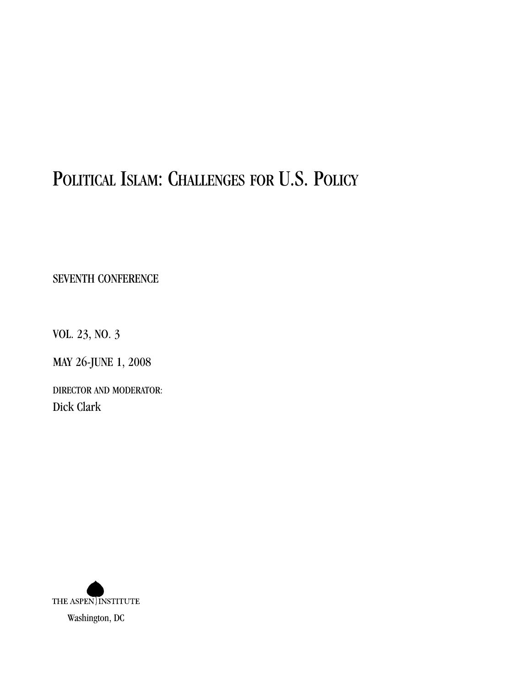# POLITICAL ISLAM: CHALLENGES FOR U.S. POLICY

SEVENTH CONFERENCE

VOL. 23, NO. 3

MAY 26-JUNE 1, 2008

DIRECTOR AND MODERATOR: Dick Clark

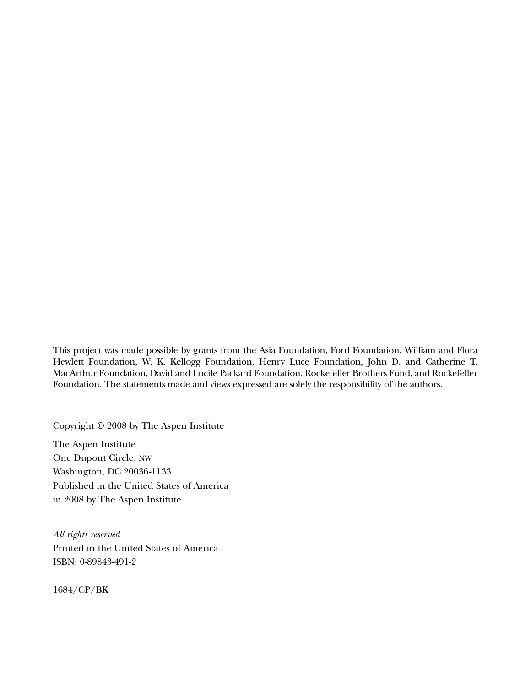This project was made possible by grants from the Asia Foundation, Ford Foundation, William and Flora Hewlett Foundation, W. K. Kellogg Foundation, Henry Luce Foundation, John D. and Catherine T. MacArthur Foundation, David and Lucile Packard Foundation, Rockefeller Brothers Fund, and Rockefeller Foundation. The statements made and views expressed are solely the responsibility of the authors.

Copyright © 2008 by The Aspen Institute

The Aspen Institute One Dupont Circle, NW Washington, DC 20036-1133 Published in the United States of America in 2008 by The Aspen Institute

*All rights reserved* Printed in the United States of America ISBN: 0-89843-491-2

1684/CP/BK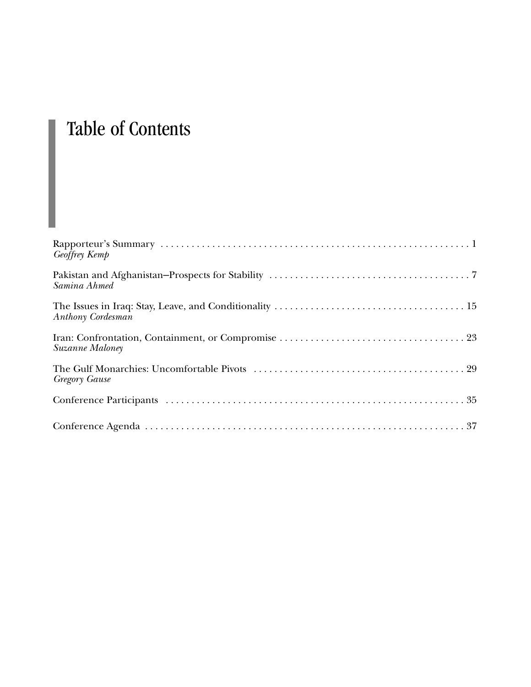# Table of Contents

| Geoffrey Kemp        |
|----------------------|
| Samina Ahmed         |
| Anthony Cordesman    |
| Suzanne Maloney      |
| <b>Gregory Gause</b> |
|                      |
|                      |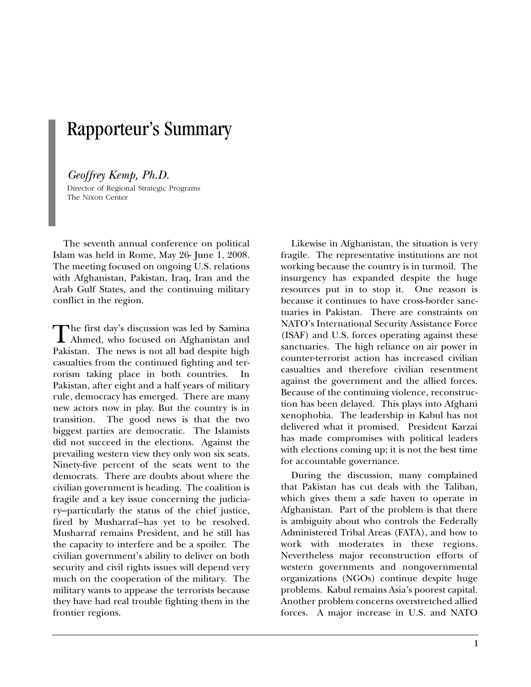## Rapporteur's Summary

#### *Geoffrey Kemp, Ph.D.*

Director of Regional Strategic Programs The Nixon Center

The seventh annual conference on political Islam was held in Rome, May 26- June 1, 2008. The meeting focused on ongoing U.S. relations with Afghanistan, Pakistan, Iraq, Iran and the Arab Gulf States, and the continuing military conflict in the region.

The first day's discussion was led by Samina<br>Ahmed, who focused on Afghanistan and<br>Religion The neur is not all had dernite high Pakistan. The news is not all bad despite high casualties from the continued fighting and terrorism taking place in both countries. In Pakistan, after eight and a half years of military rule, democracy has emerged. There are many new actors now in play. But the country is in transition. The good news is that the two biggest parties are democratic. The Islamists did not succeed in the elections. Against the prevailing western view they only won six seats. Ninety-five percent of the seats went to the democrats. There are doubts about where the civilian government is heading. The coalition is fragile and a key issue concerning the judiciary—particularly the status of the chief justice, fired by Musharraf—has yet to be resolved. Musharraf remains President, and he still has the capacity to interfere and be a spoiler. The civilian government's ability to deliver on both security and civil rights issues will depend very much on the cooperation of the military. The military wants to appease the terrorists because they have had real trouble fighting them in the frontier regions.

Likewise in Afghanistan, the situation is very fragile. The representative institutions are not working because the country is in turmoil. The insurgency has expanded despite the huge resources put in to stop it. One reason is because it continues to have cross-border sanctuaries in Pakistan. There are constraints on NATO's International Security Assistance Force (ISAF) and U.S. forces operating against these sanctuaries. The high reliance on air power in counter-terrorist action has increased civilian casualties and therefore civilian resentment against the government and the allied forces. Because of the continuing violence, reconstruction has been delayed. This plays into Afghani xenophobia. The leadership in Kabul has not delivered what it promised. President Karzai has made compromises with political leaders with elections coming up; it is not the best time for accountable governance.

During the discussion, many complained that Pakistan has cut deals with the Taliban, which gives them a safe haven to operate in Afghanistan. Part of the problem is that there is ambiguity about who controls the Federally Administered Tribal Areas (FATA), and how to work with moderates in these regions. Nevertheless major reconstruction efforts of western governments and nongovernmental organizations (NGOs) continue despite huge problems. Kabul remains Asia's poorest capital. Another problem concerns overstretched allied forces. A major increase in U.S. and NATO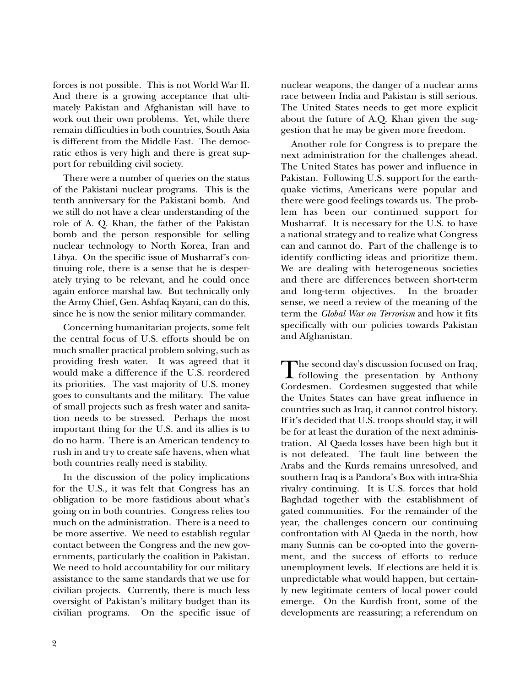forces is not possible. This is not World War II. And there is a growing acceptance that ultimately Pakistan and Afghanistan will have to work out their own problems. Yet, while there remain difficulties in both countries, South Asia is different from the Middle East. The democratic ethos is very high and there is great support for rebuilding civil society.

There were a number of queries on the status of the Pakistani nuclear programs. This is the tenth anniversary for the Pakistani bomb. And we still do not have a clear understanding of the role of A. Q. Khan, the father of the Pakistan bomb and the person responsible for selling nuclear technology to North Korea, Iran and Libya. On the specific issue of Musharraf's continuing role, there is a sense that he is desperately trying to be relevant, and he could once again enforce marshal law. But technically only the Army Chief, Gen. Ashfaq Kayani, can do this, since he is now the senior military commander.

Concerning humanitarian projects, some felt the central focus of U.S. efforts should be on much smaller practical problem solving, such as providing fresh water. It was agreed that it would make a difference if the U.S. reordered its priorities. The vast majority of U.S. money goes to consultants and the military. The value of small projects such as fresh water and sanitation needs to be stressed. Perhaps the most important thing for the U.S. and its allies is to do no harm. There is an American tendency to rush in and try to create safe havens, when what both countries really need is stability.

In the discussion of the policy implications for the U.S., it was felt that Congress has an obligation to be more fastidious about what's going on in both countries. Congress relies too much on the administration. There is a need to be more assertive. We need to establish regular contact between the Congress and the new governments, particularly the coalition in Pakistan. We need to hold accountability for our military assistance to the same standards that we use for civilian projects. Currently, there is much less oversight of Pakistan's military budget than its civilian programs. On the specific issue of nuclear weapons, the danger of a nuclear arms race between India and Pakistan is still serious. The United States needs to get more explicit about the future of A.Q. Khan given the suggestion that he may be given more freedom.

Another role for Congress is to prepare the next administration for the challenges ahead. The United States has power and influence in Pakistan. Following U.S. support for the earthquake victims, Americans were popular and there were good feelings towards us. The problem has been our continued support for Musharraf. It is necessary for the U.S. to have a national strategy and to realize what Congress can and cannot do. Part of the challenge is to identify conflicting ideas and prioritize them. We are dealing with heterogeneous societies and there are differences between short-term and long-term objectives. In the broader sense, we need a review of the meaning of the term the *Global War on Terrorism* and how it fits specifically with our policies towards Pakistan and Afghanistan.

The second day's discussion focused on Iraq,<br>following the presentation by Anthony<br>Cordeanen, Cordeanen suggested that while Cordesmen. Cordesmen suggested that while the Unites States can have great influence in countries such as Iraq, it cannot control history. If it's decided that U.S. troops should stay, it will be for at least the duration of the next administration. Al Qaeda losses have been high but it is not defeated. The fault line between the Arabs and the Kurds remains unresolved, and southern Iraq is a Pandora's Box with intra-Shia rivalry continuing. It is U.S. forces that hold Baghdad together with the establishment of gated communities. For the remainder of the year, the challenges concern our continuing confrontation with Al Qaeda in the north, how many Sunnis can be co-opted into the government, and the success of efforts to reduce unemployment levels. If elections are held it is unpredictable what would happen, but certainly new legitimate centers of local power could emerge. On the Kurdish front, some of the developments are reassuring; a referendum on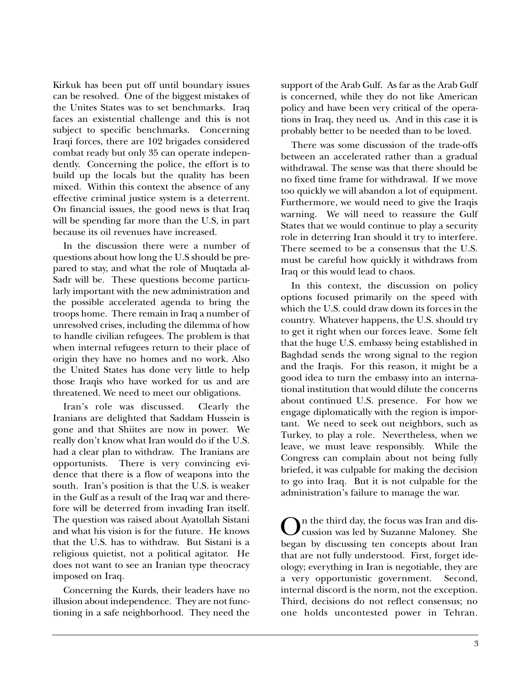Kirkuk has been put off until boundary issues can be resolved. One of the biggest mistakes of the Unites States was to set benchmarks. Iraq faces an existential challenge and this is not subject to specific benchmarks. Concerning Iraqi forces, there are 102 brigades considered combat ready but only 35 can operate independently. Concerning the police, the effort is to build up the locals but the quality has been mixed. Within this context the absence of any effective criminal justice system is a deterrent. On financial issues, the good news is that Iraq will be spending far more than the U.S, in part because its oil revenues have increased.

In the discussion there were a number of questions about how long the U.S should be prepared to stay, and what the role of Muqtada al-Sadr will be. These questions become particularly important with the new administration and the possible accelerated agenda to bring the troops home. There remain in Iraq a number of unresolved crises, including the dilemma of how to handle civilian refugees. The problem is that when internal refugees return to their place of origin they have no homes and no work. Also the United States has done very little to help those Iraqis who have worked for us and are threatened. We need to meet our obligations.

Iran's role was discussed. Clearly the Iranians are delighted that Saddam Hussein is gone and that Shiites are now in power. We really don't know what Iran would do if the U.S. had a clear plan to withdraw. The Iranians are opportunists. There is very convincing evidence that there is a flow of weapons into the south. Iran's position is that the U.S. is weaker in the Gulf as a result of the Iraq war and therefore will be deterred from invading Iran itself. The question was raised about Ayatollah Sistani and what his vision is for the future. He knows that the U.S. has to withdraw. But Sistani is a religious quietist, not a political agitator. He does not want to see an Iranian type theocracy imposed on Iraq.

Concerning the Kurds, their leaders have no illusion about independence. They are not functioning in a safe neighborhood. They need the support of the Arab Gulf. As far as the Arab Gulf is concerned, while they do not like American policy and have been very critical of the operations in Iraq, they need us. And in this case it is probably better to be needed than to be loved.

There was some discussion of the trade-offs between an accelerated rather than a gradual withdrawal. The sense was that there should be no fixed time frame for withdrawal. If we move too quickly we will abandon a lot of equipment. Furthermore, we would need to give the Iraqis warning. We will need to reassure the Gulf States that we would continue to play a security role in deterring Iran should it try to interfere. There seemed to be a consensus that the U.S. must be careful how quickly it withdraws from Iraq or this would lead to chaos.

In this context, the discussion on policy options focused primarily on the speed with which the U.S. could draw down its forces in the country. Whatever happens, the U.S. should try to get it right when our forces leave. Some felt that the huge U.S. embassy being established in Baghdad sends the wrong signal to the region and the Iraqis. For this reason, it might be a good idea to turn the embassy into an international institution that would dilute the concerns about continued U.S. presence. For how we engage diplomatically with the region is important. We need to seek out neighbors, such as Turkey, to play a role. Nevertheless, when we leave, we must leave responsibly. While the Congress can complain about not being fully briefed, it was culpable for making the decision to go into Iraq. But it is not culpable for the administration's failure to manage the war.

On the third day, the focus was Iran and discussion was led by Suzanne Maloney. She began by discussing ten concepts about Iran that are not fully understood. First, forget ideology; everything in Iran is negotiable, they are a very opportunistic government. Second, internal discord is the norm, not the exception. Third, decisions do not reflect consensus; no one holds uncontested power in Tehran.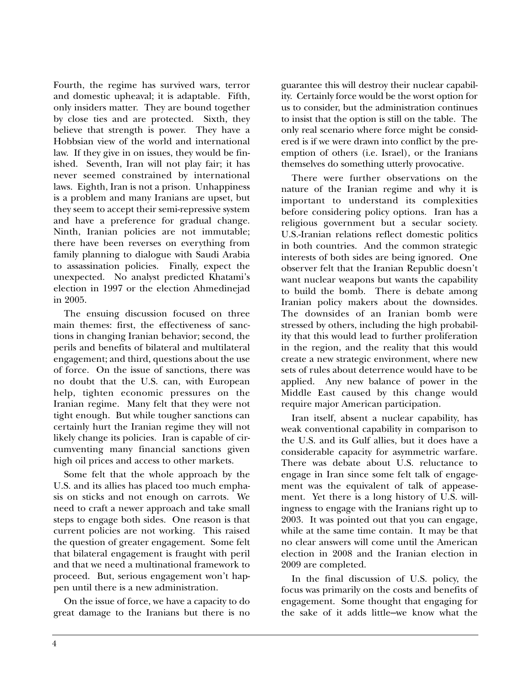Fourth, the regime has survived wars, terror and domestic upheaval; it is adaptable. Fifth, only insiders matter. They are bound together by close ties and are protected. Sixth, they believe that strength is power. They have a Hobbsian view of the world and international law. If they give in on issues, they would be finished. Seventh, Iran will not play fair; it has never seemed constrained by international laws. Eighth, Iran is not a prison. Unhappiness is a problem and many Iranians are upset, but they seem to accept their semi-repressive system and have a preference for gradual change. Ninth, Iranian policies are not immutable; there have been reverses on everything from family planning to dialogue with Saudi Arabia to assassination policies. Finally, expect the unexpected. No analyst predicted Khatami's election in 1997 or the election Ahmedinejad in 2005.

The ensuing discussion focused on three main themes: first, the effectiveness of sanctions in changing Iranian behavior; second, the perils and benefits of bilateral and multilateral engagement; and third, questions about the use of force. On the issue of sanctions, there was no doubt that the U.S. can, with European help, tighten economic pressures on the Iranian regime. Many felt that they were not tight enough. But while tougher sanctions can certainly hurt the Iranian regime they will not likely change its policies. Iran is capable of circumventing many financial sanctions given high oil prices and access to other markets.

Some felt that the whole approach by the U.S. and its allies has placed too much emphasis on sticks and not enough on carrots. We need to craft a newer approach and take small steps to engage both sides. One reason is that current policies are not working. This raised the question of greater engagement. Some felt that bilateral engagement is fraught with peril and that we need a multinational framework to proceed. But, serious engagement won't happen until there is a new administration.

On the issue of force, we have a capacity to do great damage to the Iranians but there is no guarantee this will destroy their nuclear capability. Certainly force would be the worst option for us to consider, but the administration continues to insist that the option is still on the table. The only real scenario where force might be considered is if we were drawn into conflict by the preemption of others (i.e. Israel), or the Iranians themselves do something utterly provocative.

There were further observations on the nature of the Iranian regime and why it is important to understand its complexities before considering policy options. Iran has a religious government but a secular society. U.S.-Iranian relations reflect domestic politics in both countries. And the common strategic interests of both sides are being ignored. One observer felt that the Iranian Republic doesn't want nuclear weapons but wants the capability to build the bomb. There is debate among Iranian policy makers about the downsides. The downsides of an Iranian bomb were stressed by others, including the high probability that this would lead to further proliferation in the region, and the reality that this would create a new strategic environment, where new sets of rules about deterrence would have to be applied. Any new balance of power in the Middle East caused by this change would require major American participation.

Iran itself, absent a nuclear capability, has weak conventional capability in comparison to the U.S. and its Gulf allies, but it does have a considerable capacity for asymmetric warfare. There was debate about U.S. reluctance to engage in Iran since some felt talk of engagement was the equivalent of talk of appeasement. Yet there is a long history of U.S. willingness to engage with the Iranians right up to 2003. It was pointed out that you can engage, while at the same time contain. It may be that no clear answers will come until the American election in 2008 and the Iranian election in 2009 are completed.

In the final discussion of U.S. policy, the focus was primarily on the costs and benefits of engagement. Some thought that engaging for the sake of it adds little—we know what the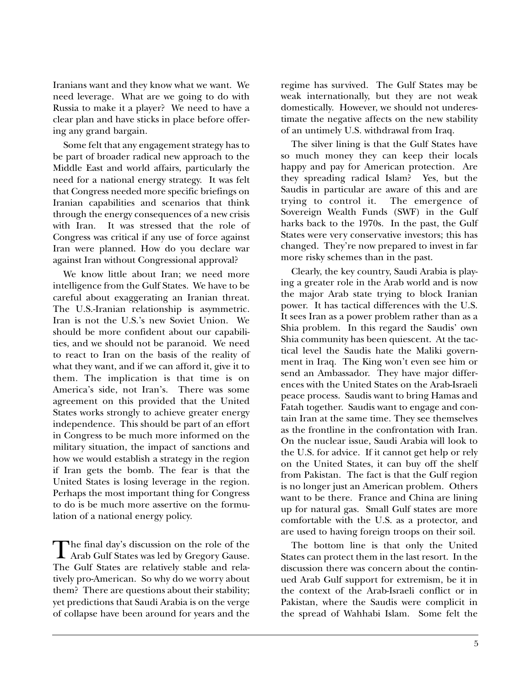Iranians want and they know what we want. We need leverage. What are we going to do with Russia to make it a player? We need to have a clear plan and have sticks in place before offering any grand bargain.

Some felt that any engagement strategy has to be part of broader radical new approach to the Middle East and world affairs, particularly the need for a national energy strategy. It was felt that Congress needed more specific briefings on Iranian capabilities and scenarios that think through the energy consequences of a new crisis with Iran. It was stressed that the role of Congress was critical if any use of force against Iran were planned. How do you declare war against Iran without Congressional approval?

We know little about Iran; we need more intelligence from the Gulf States. We have to be careful about exaggerating an Iranian threat. The U.S.-Iranian relationship is asymmetric. Iran is not the U.S.'s new Soviet Union. We should be more confident about our capabilities, and we should not be paranoid. We need to react to Iran on the basis of the reality of what they want, and if we can afford it, give it to them. The implication is that time is on America's side, not Iran's. There was some agreement on this provided that the United States works strongly to achieve greater energy independence. This should be part of an effort in Congress to be much more informed on the military situation, the impact of sanctions and how we would establish a strategy in the region if Iran gets the bomb. The fear is that the United States is losing leverage in the region. Perhaps the most important thing for Congress to do is be much more assertive on the formulation of a national energy policy.

The final day's discussion on the role of the<br>Arab Gulf States was led by Gregory Gause. The Gulf States are relatively stable and relatively pro-American. So why do we worry about them? There are questions about their stability; yet predictions that Saudi Arabia is on the verge of collapse have been around for years and the regime has survived. The Gulf States may be weak internationally, but they are not weak domestically. However, we should not underestimate the negative affects on the new stability of an untimely U.S. withdrawal from Iraq.

The silver lining is that the Gulf States have so much money they can keep their locals happy and pay for American protection. Are they spreading radical Islam? Yes, but the Saudis in particular are aware of this and are<br>trying to control it. The emergence of trying to control it. Sovereign Wealth Funds (SWF) in the Gulf harks back to the 1970s. In the past, the Gulf States were very conservative investors; this has changed. They're now prepared to invest in far more risky schemes than in the past.

Clearly, the key country, Saudi Arabia is playing a greater role in the Arab world and is now the major Arab state trying to block Iranian power. It has tactical differences with the U.S. It sees Iran as a power problem rather than as a Shia problem. In this regard the Saudis' own Shia community has been quiescent. At the tactical level the Saudis hate the Maliki government in Iraq. The King won't even see him or send an Ambassador. They have major differences with the United States on the Arab-Israeli peace process. Saudis want to bring Hamas and Fatah together. Saudis want to engage and contain Iran at the same time. They see themselves as the frontline in the confrontation with Iran. On the nuclear issue, Saudi Arabia will look to the U.S. for advice. If it cannot get help or rely on the United States, it can buy off the shelf from Pakistan. The fact is that the Gulf region is no longer just an American problem. Others want to be there. France and China are lining up for natural gas. Small Gulf states are more comfortable with the U.S. as a protector, and are used to having foreign troops on their soil.

The bottom line is that only the United States can protect them in the last resort. In the discussion there was concern about the continued Arab Gulf support for extremism, be it in the context of the Arab-Israeli conflict or in Pakistan, where the Saudis were complicit in the spread of Wahhabi Islam. Some felt the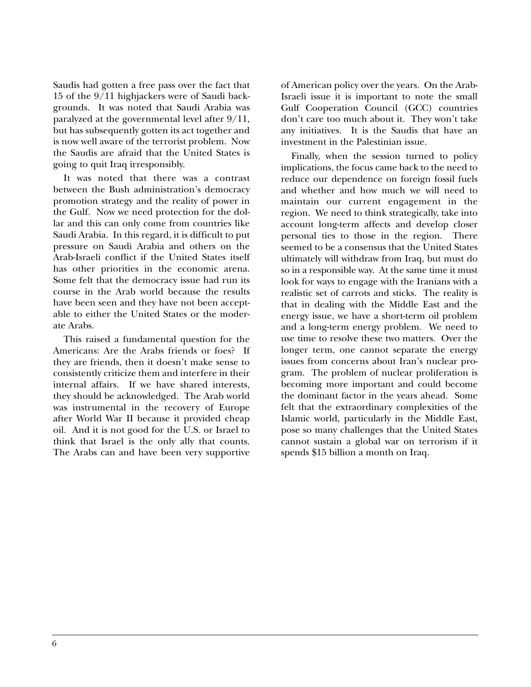Saudis had gotten a free pass over the fact that 15 of the 9/11 highjackers were of Saudi backgrounds. It was noted that Saudi Arabia was paralyzed at the governmental level after 9/11, but has subsequently gotten its act together and is now well aware of the terrorist problem. Now the Saudis are afraid that the United States is going to quit Iraq irresponsibly.

It was noted that there was a contrast between the Bush administration's democracy promotion strategy and the reality of power in the Gulf. Now we need protection for the dollar and this can only come from countries like Saudi Arabia. In this regard, it is difficult to put pressure on Saudi Arabia and others on the Arab-Israeli conflict if the United States itself has other priorities in the economic arena. Some felt that the democracy issue had run its course in the Arab world because the results have been seen and they have not been acceptable to either the United States or the moderate Arabs.

This raised a fundamental question for the Americans: Are the Arabs friends or foes? If they are friends, then it doesn't make sense to consistently criticize them and interfere in their internal affairs. If we have shared interests, they should be acknowledged. The Arab world was instrumental in the recovery of Europe after World War II because it provided cheap oil. And it is not good for the U.S. or Israel to think that Israel is the only ally that counts. The Arabs can and have been very supportive of American policy over the years. On the Arab-Israeli issue it is important to note the small Gulf Cooperation Council (GCC) countries don't care too much about it. They won't take any initiatives. It is the Saudis that have an investment in the Palestinian issue.

Finally, when the session turned to policy implications, the focus came back to the need to reduce our dependence on foreign fossil fuels and whether and how much we will need to maintain our current engagement in the region. We need to think strategically, take into account long-term affects and develop closer personal ties to those in the region. There seemed to be a consensus that the United States ultimately will withdraw from Iraq, but must do so in a responsible way. At the same time it must look for ways to engage with the Iranians with a realistic set of carrots and sticks. The reality is that in dealing with the Middle East and the energy issue, we have a short-term oil problem and a long-term energy problem. We need to use time to resolve these two matters. Over the longer term, one cannot separate the energy issues from concerns about Iran's nuclear program. The problem of nuclear proliferation is becoming more important and could become the dominant factor in the years ahead. Some felt that the extraordinary complexities of the Islamic world, particularly in the Middle East, pose so many challenges that the United States cannot sustain a global war on terrorism if it spends \$15 billion a month on Iraq.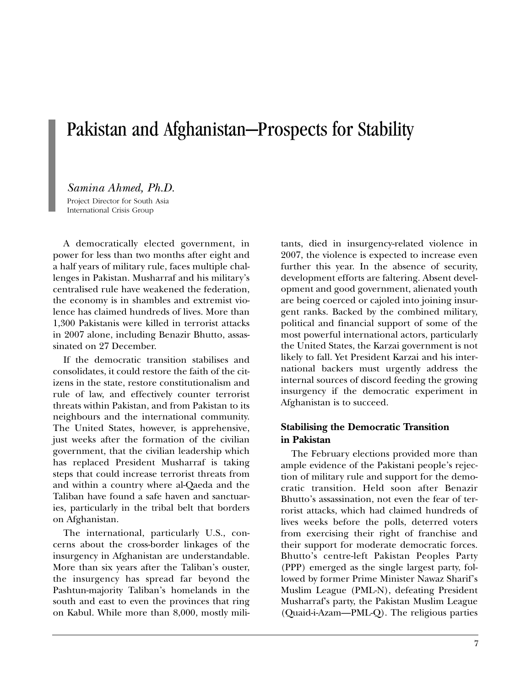## Pakistan and Afghanistan—Prospects for Stability

#### *Samina Ahmed, Ph.D.*

Project Director for South Asia International Crisis Group

A democratically elected government, in power for less than two months after eight and a half years of military rule, faces multiple challenges in Pakistan. Musharraf and his military's centralised rule have weakened the federation, the economy is in shambles and extremist violence has claimed hundreds of lives. More than 1,300 Pakistanis were killed in terrorist attacks in 2007 alone, including Benazir Bhutto, assassinated on 27 December.

If the democratic transition stabilises and consolidates, it could restore the faith of the citizens in the state, restore constitutionalism and rule of law, and effectively counter terrorist threats within Pakistan, and from Pakistan to its neighbours and the international community. The United States, however, is apprehensive, just weeks after the formation of the civilian government, that the civilian leadership which has replaced President Musharraf is taking steps that could increase terrorist threats from and within a country where al-Qaeda and the Taliban have found a safe haven and sanctuaries, particularly in the tribal belt that borders on Afghanistan.

The international, particularly U.S., concerns about the cross-border linkages of the insurgency in Afghanistan are understandable. More than six years after the Taliban's ouster, the insurgency has spread far beyond the Pashtun-majority Taliban's homelands in the south and east to even the provinces that ring on Kabul. While more than 8,000, mostly militants, died in insurgency-related violence in 2007, the violence is expected to increase even further this year. In the absence of security, development efforts are faltering. Absent development and good government, alienated youth are being coerced or cajoled into joining insurgent ranks. Backed by the combined military, political and financial support of some of the most powerful international actors, particularly the United States, the Karzai government is not likely to fall. Yet President Karzai and his international backers must urgently address the internal sources of discord feeding the growing insurgency if the democratic experiment in Afghanistan is to succeed.

## **Stabilising the Democratic Transition in Pakistan**

The February elections provided more than ample evidence of the Pakistani people's rejection of military rule and support for the democratic transition. Held soon after Benazir Bhutto's assassination, not even the fear of terrorist attacks, which had claimed hundreds of lives weeks before the polls, deterred voters from exercising their right of franchise and their support for moderate democratic forces. Bhutto's centre-left Pakistan Peoples Party (PPP) emerged as the single largest party, followed by former Prime Minister Nawaz Sharif's Muslim League (PML-N), defeating President Musharraf's party, the Pakistan Muslim League (Quaid-i-Azam—PML-Q). The religious parties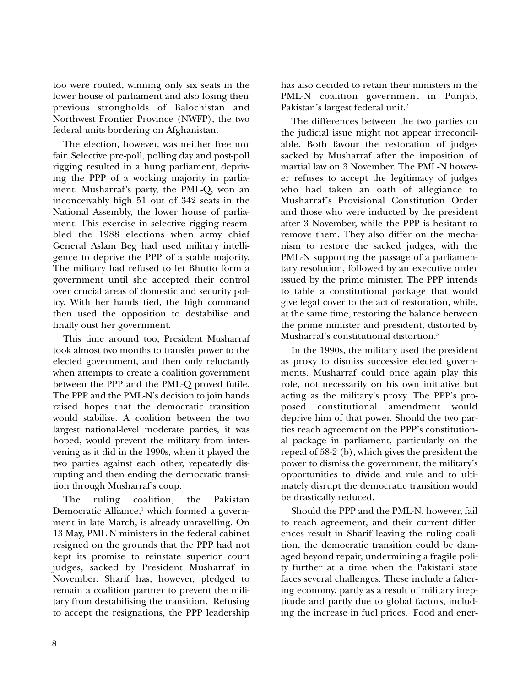too were routed, winning only six seats in the lower house of parliament and also losing their previous strongholds of Balochistan and Northwest Frontier Province (NWFP), the two federal units bordering on Afghanistan.

The election, however, was neither free nor fair. Selective pre-poll, polling day and post-poll rigging resulted in a hung parliament, depriving the PPP of a working majority in parliament. Musharraf's party, the PML-Q, won an inconceivably high 51 out of 342 seats in the National Assembly, the lower house of parliament. This exercise in selective rigging resembled the 1988 elections when army chief General Aslam Beg had used military intelligence to deprive the PPP of a stable majority. The military had refused to let Bhutto form a government until she accepted their control over crucial areas of domestic and security policy. With her hands tied, the high command then used the opposition to destabilise and finally oust her government.

This time around too, President Musharraf took almost two months to transfer power to the elected government, and then only reluctantly when attempts to create a coalition government between the PPP and the PML-Q proved futile. The PPP and the PML-N's decision to join hands raised hopes that the democratic transition would stabilise. A coalition between the two largest national-level moderate parties, it was hoped, would prevent the military from intervening as it did in the 1990s, when it played the two parties against each other, repeatedly disrupting and then ending the democratic transition through Musharraf's coup.

The ruling coalition, the Pakistan Democratic Alliance, <sup>1</sup> which formed a government in late March, is already unravelling. On 13 May, PML-N ministers in the federal cabinet resigned on the grounds that the PPP had not kept its promise to reinstate superior court judges, sacked by President Musharraf in November. Sharif has, however, pledged to remain a coalition partner to prevent the military from destabilising the transition. Refusing to accept the resignations, the PPP leadership has also decided to retain their ministers in the PML-N coalition government in Punjab, Pakistan's largest federal unit. 2

The differences between the two parties on the judicial issue might not appear irreconcilable. Both favour the restoration of judges sacked by Musharraf after the imposition of martial law on 3 November. The PML-N however refuses to accept the legitimacy of judges who had taken an oath of allegiance to Musharraf's Provisional Constitution Order and those who were inducted by the president after 3 November, while the PPP is hesitant to remove them. They also differ on the mechanism to restore the sacked judges, with the PML-N supporting the passage of a parliamentary resolution, followed by an executive order issued by the prime minister. The PPP intends to table a constitutional package that would give legal cover to the act of restoration, while, at the same time, restoring the balance between the prime minister and president, distorted by Musharraf's constitutional distortion. 3

In the 1990s, the military used the president as proxy to dismiss successive elected governments. Musharraf could once again play this role, not necessarily on his own initiative but acting as the military's proxy. The PPP's proposed constitutional amendment would deprive him of that power. Should the two parties reach agreement on the PPP's constitutional package in parliament, particularly on the repeal of 58-2 (b), which gives the president the power to dismiss the government, the military's opportunities to divide and rule and to ultimately disrupt the democratic transition would be drastically reduced.

Should the PPP and the PML-N, however, fail to reach agreement, and their current differences result in Sharif leaving the ruling coalition, the democratic transition could be damaged beyond repair, undermining a fragile polity further at a time when the Pakistani state faces several challenges. These include a faltering economy, partly as a result of military ineptitude and partly due to global factors, including the increase in fuel prices. Food and ener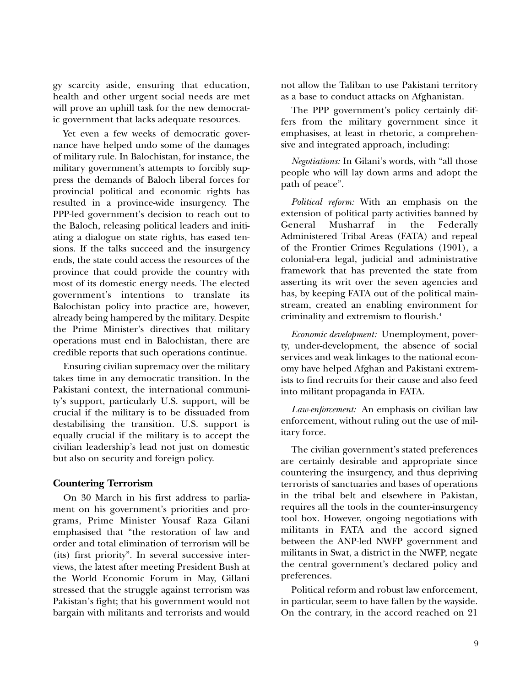gy scarcity aside, ensuring that education, health and other urgent social needs are met will prove an uphill task for the new democratic government that lacks adequate resources.

Yet even a few weeks of democratic governance have helped undo some of the damages of military rule. In Balochistan, for instance, the military government's attempts to forcibly suppress the demands of Baloch liberal forces for provincial political and economic rights has resulted in a province-wide insurgency. The PPP-led government's decision to reach out to the Baloch, releasing political leaders and initiating a dialogue on state rights, has eased tensions. If the talks succeed and the insurgency ends, the state could access the resources of the province that could provide the country with most of its domestic energy needs. The elected government's intentions to translate its Balochistan policy into practice are, however, already being hampered by the military. Despite the Prime Minister's directives that military operations must end in Balochistan, there are credible reports that such operations continue.

Ensuring civilian supremacy over the military takes time in any democratic transition. In the Pakistani context, the international community's support, particularly U.S. support, will be crucial if the military is to be dissuaded from destabilising the transition. U.S. support is equally crucial if the military is to accept the civilian leadership's lead not just on domestic but also on security and foreign policy.

#### **Countering Terrorism**

On 30 March in his first address to parliament on his government's priorities and programs, Prime Minister Yousaf Raza Gilani emphasised that "the restoration of law and order and total elimination of terrorism will be (its) first priority". In several successive interviews, the latest after meeting President Bush at the World Economic Forum in May, Gillani stressed that the struggle against terrorism was Pakistan's fight; that his government would not bargain with militants and terrorists and would not allow the Taliban to use Pakistani territory as a base to conduct attacks on Afghanistan.

The PPP government's policy certainly differs from the military government since it emphasises, at least in rhetoric, a comprehensive and integrated approach, including:

*Negotiations:* In Gilani's words, with "all those people who will lay down arms and adopt the path of peace".

*Political reform:* With an emphasis on the extension of political party activities banned by General Musharraf in the Federally Administered Tribal Areas (FATA) and repeal of the Frontier Crimes Regulations (1901), a colonial-era legal, judicial and administrative framework that has prevented the state from asserting its writ over the seven agencies and has, by keeping FATA out of the political mainstream, created an enabling environment for criminality and extremism to flourish. 4

*Economic development:* Unemployment, poverty, under-development, the absence of social services and weak linkages to the national economy have helped Afghan and Pakistani extremists to find recruits for their cause and also feed into militant propaganda in FATA.

*Law-enforcement:* An emphasis on civilian law enforcement, without ruling out the use of military force.

The civilian government's stated preferences are certainly desirable and appropriate since countering the insurgency, and thus depriving terrorists of sanctuaries and bases of operations in the tribal belt and elsewhere in Pakistan, requires all the tools in the counter-insurgency tool box. However, ongoing negotiations with militants in FATA and the accord signed between the ANP-led NWFP government and militants in Swat, a district in the NWFP, negate the central government's declared policy and preferences.

Political reform and robust law enforcement, in particular, seem to have fallen by the wayside. On the contrary, in the accord reached on 21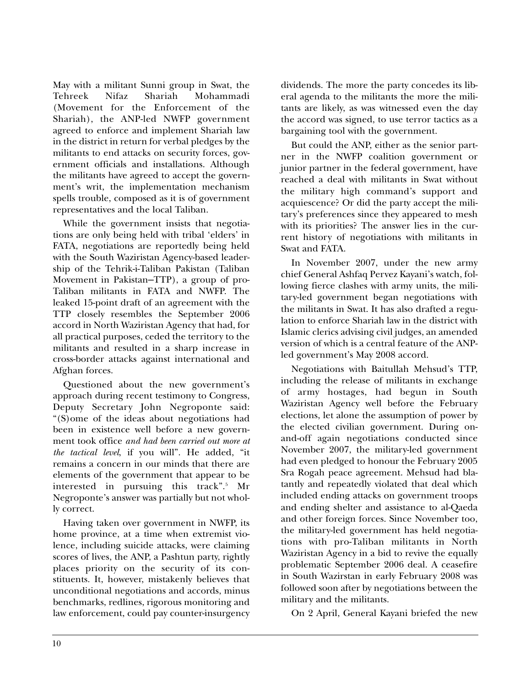May with a militant Sunni group in Swat, the Tehreek Nifaz Shariah Mohammadi (Movement for the Enforcement of the Shariah), the ANP-led NWFP government agreed to enforce and implement Shariah law in the district in return for verbal pledges by the militants to end attacks on security forces, government officials and installations. Although the militants have agreed to accept the government's writ, the implementation mechanism spells trouble, composed as it is of government representatives and the local Taliban.

While the government insists that negotiations are only being held with tribal 'elders' in FATA, negotiations are reportedly being held with the South Waziristan Agency-based leadership of the Tehrik-i-Taliban Pakistan (Taliban Movement in Pakistan—TTP), a group of pro-Taliban militants in FATA and NWFP. The leaked 15-point draft of an agreement with the TTP closely resembles the September 2006 accord in North Waziristan Agency that had, for all practical purposes, ceded the territory to the militants and resulted in a sharp increase in cross-border attacks against international and Afghan forces.

Questioned about the new government's approach during recent testimony to Congress, Deputy Secretary John Negroponte said: "(S)ome of the ideas about negotiations had been in existence well before a new government took office *and had been carried out more at the tactical level*, if you will". He added, "it remains a concern in our minds that there are elements of the government that appear to be interested in pursuing this track". <sup>5</sup> Mr Negroponte's answer was partially but not wholly correct.

Having taken over government in NWFP, its home province, at a time when extremist violence, including suicide attacks, were claiming scores of lives, the ANP, a Pashtun party, rightly places priority on the security of its constituents. It, however, mistakenly believes that unconditional negotiations and accords, minus benchmarks, redlines, rigorous monitoring and law enforcement, could pay counter-insurgency dividends. The more the party concedes its liberal agenda to the militants the more the militants are likely, as was witnessed even the day the accord was signed, to use terror tactics as a bargaining tool with the government.

But could the ANP, either as the senior partner in the NWFP coalition government or junior partner in the federal government, have reached a deal with militants in Swat without the military high command's support and acquiescence? Or did the party accept the military's preferences since they appeared to mesh with its priorities? The answer lies in the current history of negotiations with militants in Swat and FATA.

In November 2007, under the new army chief General Ashfaq Pervez Kayani's watch, following fierce clashes with army units, the military-led government began negotiations with the militants in Swat. It has also drafted a regulation to enforce Shariah law in the district with Islamic clerics advising civil judges, an amended version of which is a central feature of the ANPled government's May 2008 accord.

Negotiations with Baitullah Mehsud's TTP, including the release of militants in exchange of army hostages, had begun in South Waziristan Agency well before the February elections, let alone the assumption of power by the elected civilian government. During onand-off again negotiations conducted since November 2007, the military-led government had even pledged to honour the February 2005 Sra Rogah peace agreement. Mehsud had blatantly and repeatedly violated that deal which included ending attacks on government troops and ending shelter and assistance to al-Qaeda and other foreign forces. Since November too, the military-led government has held negotiations with pro-Taliban militants in North Waziristan Agency in a bid to revive the equally problematic September 2006 deal. A ceasefire in South Wazirstan in early February 2008 was followed soon after by negotiations between the military and the militants.

On 2 April, General Kayani briefed the new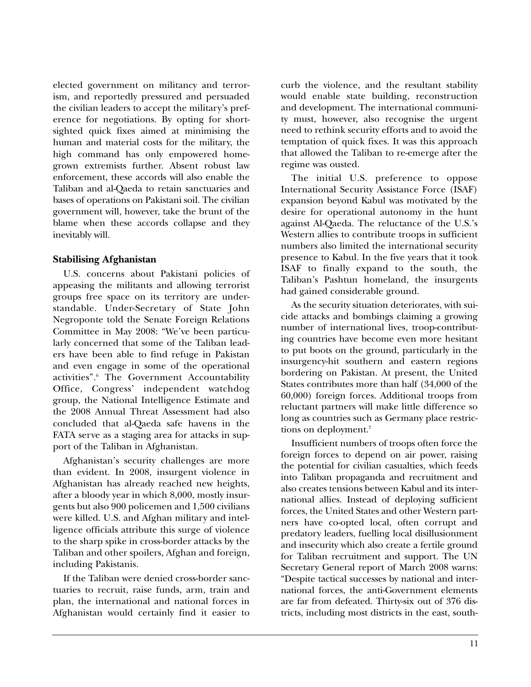elected government on militancy and terrorism, and reportedly pressured and persuaded the civilian leaders to accept the military's preference for negotiations. By opting for shortsighted quick fixes aimed at minimising the human and material costs for the military, the high command has only empowered homegrown extremists further. Absent robust law enforcement, these accords will also enable the Taliban and al-Qaeda to retain sanctuaries and bases of operations on Pakistani soil. The civilian government will, however, take the brunt of the blame when these accords collapse and they inevitably will.

#### **Stabilising Afghanistan**

U.S. concerns about Pakistani policies of appeasing the militants and allowing terrorist groups free space on its territory are understandable. Under-Secretary of State John Negroponte told the Senate Foreign Relations Committee in May 2008: "We've been particularly concerned that some of the Taliban leaders have been able to find refuge in Pakistan and even engage in some of the operational activities". <sup>6</sup> The Government Accountability Office, Congress' independent watchdog group, the National Intelligence Estimate and the 2008 Annual Threat Assessment had also concluded that al-Qaeda safe havens in the FATA serve as a staging area for attacks in support of the Taliban in Afghanistan.

Afghanistan's security challenges are more than evident. In 2008, insurgent violence in Afghanistan has already reached new heights, after a bloody year in which 8,000, mostly insurgents but also 900 policemen and 1,500 civilians were killed. U.S. and Afghan military and intelligence officials attribute this surge of violence to the sharp spike in cross-border attacks by the Taliban and other spoilers, Afghan and foreign, including Pakistanis.

If the Taliban were denied cross-border sanctuaries to recruit, raise funds, arm, train and plan, the international and national forces in Afghanistan would certainly find it easier to curb the violence, and the resultant stability would enable state building, reconstruction and development. The international community must, however, also recognise the urgent need to rethink security efforts and to avoid the temptation of quick fixes. It was this approach that allowed the Taliban to re-emerge after the regime was ousted.

The initial U.S. preference to oppose International Security Assistance Force (ISAF) expansion beyond Kabul was motivated by the desire for operational autonomy in the hunt against Al-Qaeda. The reluctance of the U.S.'s Western allies to contribute troops in sufficient numbers also limited the international security presence to Kabul. In the five years that it took ISAF to finally expand to the south, the Taliban's Pashtun homeland, the insurgents had gained considerable ground.

As the security situation deteriorates, with suicide attacks and bombings claiming a growing number of international lives, troop-contributing countries have become even more hesitant to put boots on the ground, particularly in the insurgency-hit southern and eastern regions bordering on Pakistan. At present, the United States contributes more than half (34,000 of the 60,000) foreign forces. Additional troops from reluctant partners will make little difference so long as countries such as Germany place restrictions on deployment. 7

Insufficient numbers of troops often force the foreign forces to depend on air power, raising the potential for civilian casualties, which feeds into Taliban propaganda and recruitment and also creates tensions between Kabul and its international allies. Instead of deploying sufficient forces, the United States and other Western partners have co-opted local, often corrupt and predatory leaders, fuelling local disillusionment and insecurity which also create a fertile ground for Taliban recruitment and support. The UN Secretary General report of March 2008 warns: "Despite tactical successes by national and international forces, the anti-Government elements are far from defeated. Thirty-six out of 376 districts, including most districts in the east, south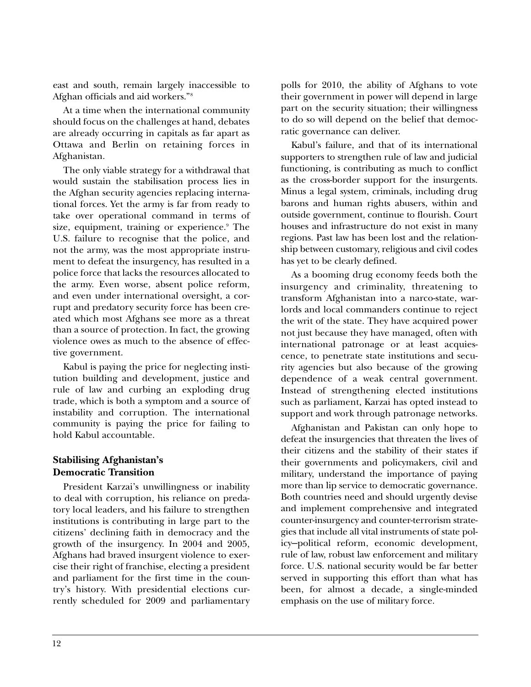east and south, remain largely inaccessible to Afghan officials and aid workers."8

At a time when the international community should focus on the challenges at hand, debates are already occurring in capitals as far apart as Ottawa and Berlin on retaining forces in Afghanistan.

The only viable strategy for a withdrawal that would sustain the stabilisation process lies in the Afghan security agencies replacing international forces. Yet the army is far from ready to take over operational command in terms of size, equipment, training or experience. <sup>9</sup> The U.S. failure to recognise that the police, and not the army, was the most appropriate instrument to defeat the insurgency, has resulted in a police force that lacks the resources allocated to the army. Even worse, absent police reform, and even under international oversight, a corrupt and predatory security force has been created which most Afghans see more as a threat than a source of protection. In fact, the growing violence owes as much to the absence of effective government.

Kabul is paying the price for neglecting institution building and development, justice and rule of law and curbing an exploding drug trade, which is both a symptom and a source of instability and corruption. The international community is paying the price for failing to hold Kabul accountable.

#### **Stabilising Afghanistan's Democratic Transition**

President Karzai's unwillingness or inability to deal with corruption, his reliance on predatory local leaders, and his failure to strengthen institutions is contributing in large part to the citizens' declining faith in democracy and the growth of the insurgency. In 2004 and 2005, Afghans had braved insurgent violence to exercise their right of franchise, electing a president and parliament for the first time in the country's history. With presidential elections currently scheduled for 2009 and parliamentary polls for 2010, the ability of Afghans to vote their government in power will depend in large part on the security situation; their willingness to do so will depend on the belief that democratic governance can deliver.

Kabul's failure, and that of its international supporters to strengthen rule of law and judicial functioning, is contributing as much to conflict as the cross-border support for the insurgents. Minus a legal system, criminals, including drug barons and human rights abusers, within and outside government, continue to flourish. Court houses and infrastructure do not exist in many regions. Past law has been lost and the relationship between customary, religious and civil codes has yet to be clearly defined.

As a booming drug economy feeds both the insurgency and criminality, threatening to transform Afghanistan into a narco-state, warlords and local commanders continue to reject the writ of the state. They have acquired power not just because they have managed, often with international patronage or at least acquiescence, to penetrate state institutions and security agencies but also because of the growing dependence of a weak central government. Instead of strengthening elected institutions such as parliament, Karzai has opted instead to support and work through patronage networks.

Afghanistan and Pakistan can only hope to defeat the insurgencies that threaten the lives of their citizens and the stability of their states if their governments and policymakers, civil and military, understand the importance of paying more than lip service to democratic governance. Both countries need and should urgently devise and implement comprehensive and integrated counter-insurgency and counter-terrorism strategies that include all vital instruments of state policy—political reform, economic development, rule of law, robust law enforcement and military force. U.S. national security would be far better served in supporting this effort than what has been, for almost a decade, a single-minded emphasis on the use of military force.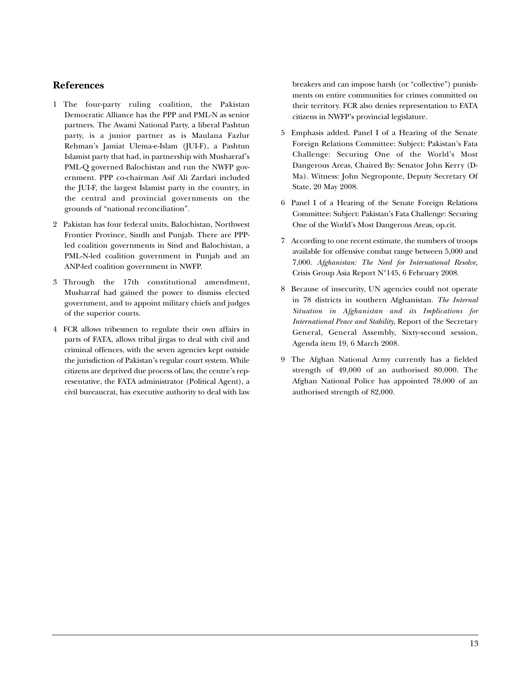#### **References**

- 1 The four-party ruling coalition, the Pakistan Democratic Alliance has the PPP and PML-N as senior partners. The Awami National Party, a liberal Pashtun party, is a junior partner as is Maulana Fazlur Rehman's Jamiat Ulema-e-Islam (JUI-F), a Pashtun Islamist party that had, in partnership with Musharraf's PML-Q governed Balochistan and run the NWFP government. PPP co-chairman Asif Ali Zardari included the JUI-F, the largest Islamist party in the country, in the central and provincial governments on the grounds of "national reconciliation".
- 2 Pakistan has four federal units, Balochistan, Northwest Frontier Province, Sindh and Punjab. There are PPPled coalition governments in Sind and Balochistan, a PML-N-led coalition government in Punjab and an ANP-led coalition government in NWFP.
- 3 Through the 17th constitutional amendment, Musharraf had gained the power to dismiss elected government, and to appoint military chiefs and judges of the superior courts.
- 4 FCR allows tribesmen to regulate their own affairs in parts of FATA, allows tribal jirgas to deal with civil and criminal offences, with the seven agencies kept outside the jurisdiction of Pakistan's regular court system. While citizens are deprived due process of law, the centre's representative, the FATA administrator (Political Agent), a civil bureaucrat, has executive authority to deal with law

breakers and can impose harsh (or "collective") punishments on entire communities for crimes committed on their territory. FCR also denies representation to FATA citizens in NWFP's provincial legislature.

- 5 Emphasis added. Panel I of a Hearing of the Senate Foreign Relations Committee: Subject: Pakistan's Fata Challenge: Securing One of the World's Most Dangerous Areas, Chaired By: Senator John Kerry (D-Ma). Witness: John Negroponte, Deputy Secretary Of State, 20 May 2008.
- 6 Panel I of a Hearing of the Senate Foreign Relations Committee: Subject: Pakistan's Fata Challenge: Securing One of the World's Most Dangerous Areas, op.cit.
- 7 According to one recent estimate, the numbers of troops available for offensive combat range between 5,000 and 7,000. *Afghanistan: The Need for International Resolve,* Crisis Group Asia Report N°145, 6 February 2008.
- 8 Because of insecurity, UN agencies could not operate in 78 districts in southern Afghanistan. *The Internal Situation in Afghanistan and its Implications for International Peace and Stability*, Report of the Secretary General, General Assembly, Sixty-second session, Agenda item 19, 6 March 2008.
- 9 The Afghan National Army currently has a fielded strength of 49,000 of an authorised 80,000. The Afghan National Police has appointed 78,000 of an authorised strength of 82,000.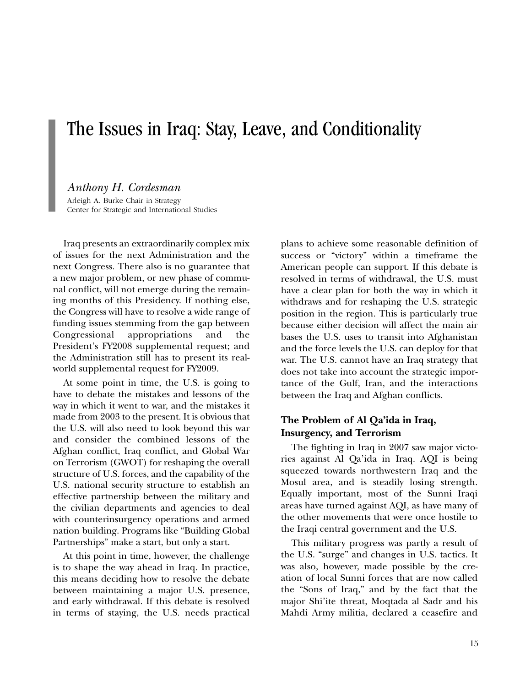## The Issues in Iraq: Stay, Leave, and Conditionality

## *Anthony H. Cordesman*

Arleigh A. Burke Chair in Strategy Center for Strategic and International Studies

Iraq presents an extraordinarily complex mix of issues for the next Administration and the next Congress. There also is no guarantee that a new major problem, or new phase of communal conflict, will not emerge during the remaining months of this Presidency. If nothing else, the Congress will have to resolve a wide range of funding issues stemming from the gap between Congressional appropriations and the President's FY2008 supplemental request; and the Administration still has to present its realworld supplemental request for FY2009.

At some point in time, the U.S. is going to have to debate the mistakes and lessons of the way in which it went to war, and the mistakes it made from 2003 to the present. It is obvious that the U.S. will also need to look beyond this war and consider the combined lessons of the Afghan conflict, Iraq conflict, and Global War on Terrorism (GWOT) for reshaping the overall structure of U.S. forces, and the capability of the U.S. national security structure to establish an effective partnership between the military and the civilian departments and agencies to deal with counterinsurgency operations and armed nation building. Programs like "Building Global Partnerships" make a start, but only a start.

At this point in time, however, the challenge is to shape the way ahead in Iraq. In practice, this means deciding how to resolve the debate between maintaining a major U.S. presence, and early withdrawal. If this debate is resolved in terms of staying, the U.S. needs practical

plans to achieve some reasonable definition of success or "victory" within a timeframe the American people can support. If this debate is resolved in terms of withdrawal, the U.S. must have a clear plan for both the way in which it withdraws and for reshaping the U.S. strategic position in the region. This is particularly true because either decision will affect the main air bases the U.S. uses to transit into Afghanistan and the force levels the U.S. can deploy for that war. The U.S. cannot have an Iraq strategy that does not take into account the strategic importance of the Gulf, Iran, and the interactions between the Iraq and Afghan conflicts.

#### **The Problem of Al Qa'ida in Iraq, Insurgency, and Terrorism**

The fighting in Iraq in 2007 saw major victories against Al Qa'ida in Iraq. AQI is being squeezed towards northwestern Iraq and the Mosul area, and is steadily losing strength. Equally important, most of the Sunni Iraqi areas have turned against AQI, as have many of the other movements that were once hostile to the Iraqi central government and the U.S.

This military progress was partly a result of the U.S. "surge" and changes in U.S. tactics. It was also, however, made possible by the creation of local Sunni forces that are now called the "Sons of Iraq," and by the fact that the major Shi'ite threat, Moqtada al Sadr and his Mahdi Army militia, declared a ceasefire and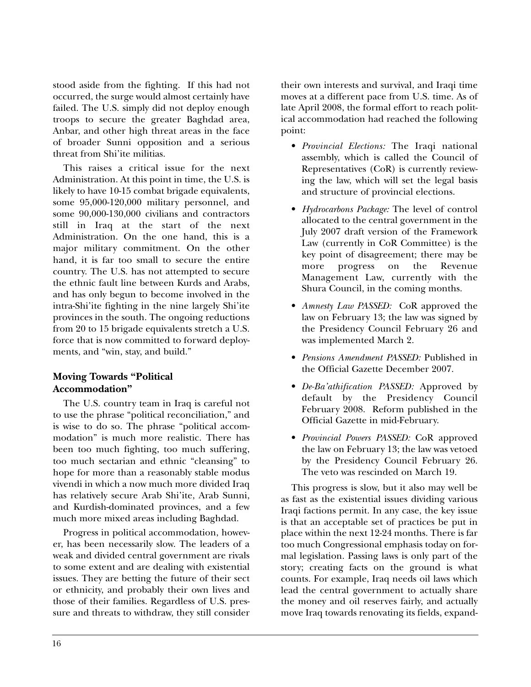stood aside from the fighting. If this had not occurred, the surge would almost certainly have failed. The U.S. simply did not deploy enough troops to secure the greater Baghdad area, Anbar, and other high threat areas in the face of broader Sunni opposition and a serious threat from Shi'ite militias.

This raises a critical issue for the next Administration. At this point in time, the U.S. is likely to have 10-15 combat brigade equivalents, some 95,000-120,000 military personnel, and some 90,000-130,000 civilians and contractors still in Iraq at the start of the next Administration. On the one hand, this is a major military commitment. On the other hand, it is far too small to secure the entire country. The U.S. has not attempted to secure the ethnic fault line between Kurds and Arabs, and has only begun to become involved in the intra-Shi'ite fighting in the nine largely Shi'ite provinces in the south. The ongoing reductions from 20 to 15 brigade equivalents stretch a U.S. force that is now committed to forward deployments, and "win, stay, and build."

## **Moving Towards "Political Accommodation"**

The U.S. country team in Iraq is careful not to use the phrase "political reconciliation," and is wise to do so. The phrase "political accommodation" is much more realistic. There has been too much fighting, too much suffering, too much sectarian and ethnic "cleansing" to hope for more than a reasonably stable modus vivendi in which a now much more divided Iraq has relatively secure Arab Shi'ite, Arab Sunni, and Kurdish-dominated provinces, and a few much more mixed areas including Baghdad.

Progress in political accommodation, however, has been necessarily slow. The leaders of a weak and divided central government are rivals to some extent and are dealing with existential issues. They are betting the future of their sect or ethnicity, and probably their own lives and those of their families. Regardless of U.S. pressure and threats to withdraw, they still consider

their own interests and survival, and Iraqi time moves at a different pace from U.S. time. As of late April 2008, the formal effort to reach political accommodation had reached the following point:

- *Provincial Elections:* The Iraqi national assembly, which is called the Council of Representatives (CoR) is currently reviewing the law, which will set the legal basis and structure of provincial elections.
- *Hydrocarbons Package:* The level of control allocated to the central government in the July 2007 draft version of the Framework Law (currently in CoR Committee) is the key point of disagreement; there may be more progress on the Revenue Management Law, currently with the Shura Council, in the coming months.
- *Amnesty Law PASSED:* CoR approved the law on February 13; the law was signed by the Presidency Council February 26 and was implemented March 2.
- *Pensions Amendment PASSED:* Published in the Official Gazette December 2007.
- *De-Ba'athification PASSED:* Approved by default by the Presidency Council February 2008. Reform published in the Official Gazette in mid-February.
- *Provincial Powers PASSED:* CoR approved the law on February 13; the law was vetoed by the Presidency Council February 26. The veto was rescinded on March 19.

This progress is slow, but it also may well be as fast as the existential issues dividing various Iraqi factions permit. In any case, the key issue is that an acceptable set of practices be put in place within the next 12-24 months. There is far too much Congressional emphasis today on formal legislation. Passing laws is only part of the story; creating facts on the ground is what counts. For example, Iraq needs oil laws which lead the central government to actually share the money and oil reserves fairly, and actually move Iraq towards renovating its fields, expand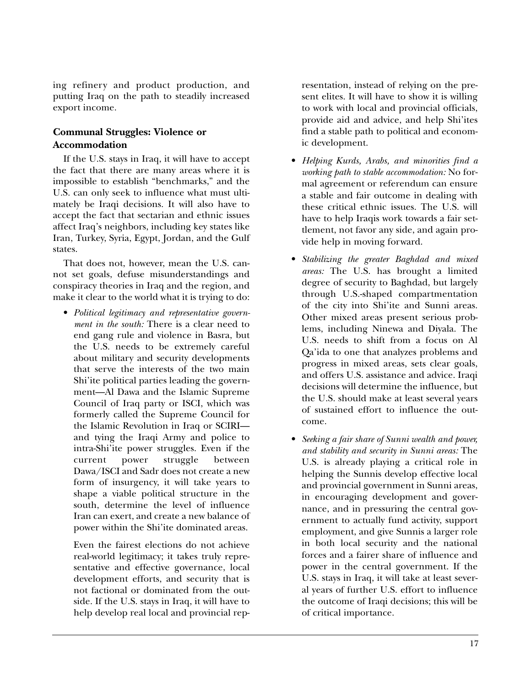ing refinery and product production, and putting Iraq on the path to steadily increased export income.

### **Communal Struggles: Violence or Accommodation**

If the U.S. stays in Iraq, it will have to accept the fact that there are many areas where it is impossible to establish "benchmarks," and the U.S. can only seek to influence what must ultimately be Iraqi decisions. It will also have to accept the fact that sectarian and ethnic issues affect Iraq's neighbors, including key states like Iran, Turkey, Syria, Egypt, Jordan, and the Gulf states.

That does not, however, mean the U.S. cannot set goals, defuse misunderstandings and conspiracy theories in Iraq and the region, and make it clear to the world what it is trying to do:

• *Political legitimacy and representative government in the south:* There is a clear need to end gang rule and violence in Basra, but the U.S. needs to be extremely careful about military and security developments that serve the interests of the two main Shi'ite political parties leading the government—Al Dawa and the Islamic Supreme Council of Iraq party or ISCI, which was formerly called the Supreme Council for the Islamic Revolution in Iraq or SCIRI and tying the Iraqi Army and police to intra-Shi'ite power struggles. Even if the current power struggle between Dawa/ISCI and Sadr does not create a new form of insurgency, it will take years to shape a viable political structure in the south, determine the level of influence Iran can exert, and create a new balance of power within the Shi'ite dominated areas.

Even the fairest elections do not achieve real-world legitimacy; it takes truly representative and effective governance, local development efforts, and security that is not factional or dominated from the outside. If the U.S. stays in Iraq, it will have to help develop real local and provincial rep-

resentation, instead of relying on the present elites. It will have to show it is willing to work with local and provincial officials, provide aid and advice, and help Shi'ites find a stable path to political and economic development.

- *Helping Kurds, Arabs, and minorities find a working path to stable accommodation:* No formal agreement or referendum can ensure a stable and fair outcome in dealing with these critical ethnic issues. The U.S. will have to help Iraqis work towards a fair settlement, not favor any side, and again provide help in moving forward.
- *Stabilizing the greater Baghdad and mixed areas:* The U.S. has brought a limited degree of security to Baghdad, but largely through U.S.-shaped compartmentation of the city into Shi'ite and Sunni areas. Other mixed areas present serious problems, including Ninewa and Diyala. The U.S. needs to shift from a focus on Al Qa'ida to one that analyzes problems and progress in mixed areas, sets clear goals, and offers U.S. assistance and advice. Iraqi decisions will determine the influence, but the U.S. should make at least several years of sustained effort to influence the outcome.
- *Seeking a fair share of Sunni wealth and power, and stability and security in Sunni areas:* The U.S. is already playing a critical role in helping the Sunnis develop effective local and provincial government in Sunni areas, in encouraging development and governance, and in pressuring the central government to actually fund activity, support employment, and give Sunnis a larger role in both local security and the national forces and a fairer share of influence and power in the central government. If the U.S. stays in Iraq, it will take at least several years of further U.S. effort to influence the outcome of Iraqi decisions; this will be of critical importance.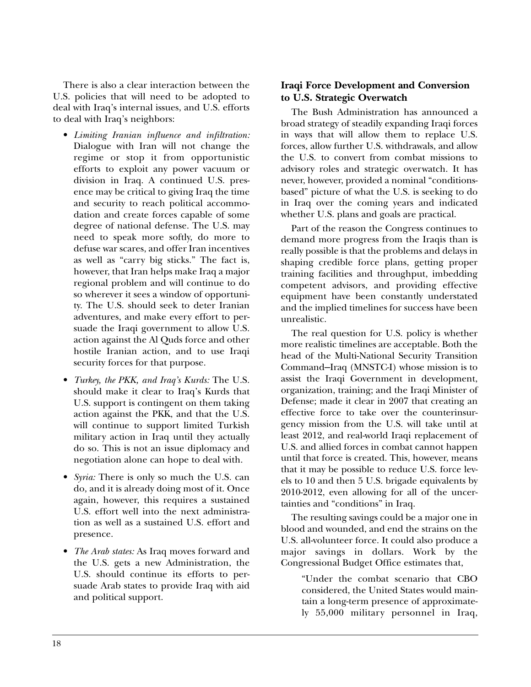There is also a clear interaction between the U.S. policies that will need to be adopted to deal with Iraq's internal issues, and U.S. efforts to deal with Iraq's neighbors:

- *Limiting Iranian influence and infiltration:* Dialogue with Iran will not change the regime or stop it from opportunistic efforts to exploit any power vacuum or division in Iraq. A continued U.S. presence may be critical to giving Iraq the time and security to reach political accommodation and create forces capable of some degree of national defense. The U.S. may need to speak more softly, do more to defuse war scares, and offer Iran incentives as well as "carry big sticks." The fact is, however, that Iran helps make Iraq a major regional problem and will continue to do so wherever it sees a window of opportunity. The U.S. should seek to deter Iranian adventures, and make every effort to persuade the Iraqi government to allow U.S. action against the Al Quds force and other hostile Iranian action, and to use Iraqi security forces for that purpose.
- *Turkey, the PKK, and Iraq's Kurds:* The U.S. should make it clear to Iraq's Kurds that U.S. support is contingent on them taking action against the PKK, and that the U.S. will continue to support limited Turkish military action in Iraq until they actually do so. This is not an issue diplomacy and negotiation alone can hope to deal with.
- *Syria:* There is only so much the U.S. can do, and it is already doing most of it. Once again, however, this requires a sustained U.S. effort well into the next administration as well as a sustained U.S. effort and presence.
- *The Arab states:* As Iraq moves forward and the U.S. gets a new Administration, the U.S. should continue its efforts to persuade Arab states to provide Iraq with aid and political support.

## **Iraqi Force Development and Conversion to U.S. Strategic Overwatch**

The Bush Administration has announced a broad strategy of steadily expanding Iraqi forces in ways that will allow them to replace U.S. forces, allow further U.S. withdrawals, and allow the U.S. to convert from combat missions to advisory roles and strategic overwatch. It has never, however, provided a nominal "conditionsbased" picture of what the U.S. is seeking to do in Iraq over the coming years and indicated whether U.S. plans and goals are practical.

Part of the reason the Congress continues to demand more progress from the Iraqis than is really possible is that the problems and delays in shaping credible force plans, getting proper training facilities and throughput, imbedding competent advisors, and providing effective equipment have been constantly understated and the implied timelines for success have been unrealistic.

The real question for U.S. policy is whether more realistic timelines are acceptable. Both the head of the Multi-National Security Transition Command—Iraq (MNSTC-I) whose mission is to assist the Iraqi Government in development, organization, training; and the Iraqi Minister of Defense; made it clear in 2007 that creating an effective force to take over the counterinsurgency mission from the U.S. will take until at least 2012, and real-world Iraqi replacement of U.S. and allied forces in combat cannot happen until that force is created. This, however, means that it may be possible to reduce U.S. force levels to 10 and then 5 U.S. brigade equivalents by 2010-2012, even allowing for all of the uncertainties and "conditions" in Iraq.

The resulting savings could be a major one in blood and wounded, and end the strains on the U.S. all-volunteer force. It could also produce a major savings in dollars. Work by the Congressional Budget Office estimates that,

"Under the combat scenario that CBO considered, the United States would maintain a long-term presence of approximately 55,000 military personnel in Iraq,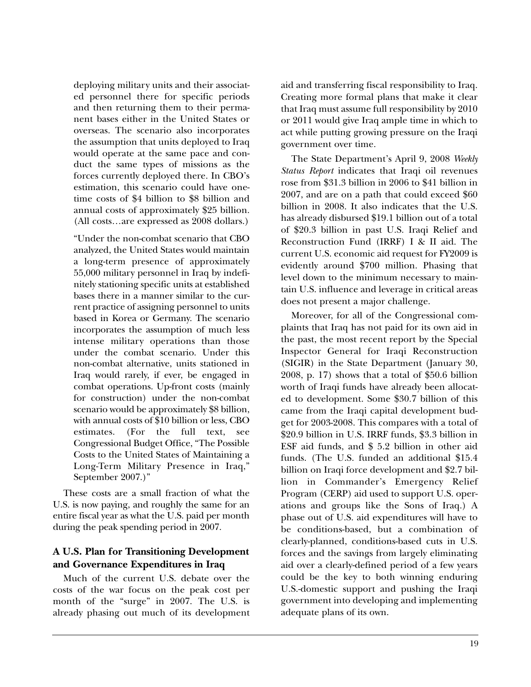deploying military units and their associated personnel there for specific periods and then returning them to their permanent bases either in the United States or overseas. The scenario also incorporates the assumption that units deployed to Iraq would operate at the same pace and conduct the same types of missions as the forces currently deployed there. In CBO's estimation, this scenario could have onetime costs of \$4 billion to \$8 billion and annual costs of approximately \$25 billion. (All costs…are expressed as 2008 dollars.)

"Under the non-combat scenario that CBO analyzed, the United States would maintain a long-term presence of approximately 55,000 military personnel in Iraq by indefinitely stationing specific units at established bases there in a manner similar to the current practice of assigning personnel to units based in Korea or Germany. The scenario incorporates the assumption of much less intense military operations than those under the combat scenario. Under this non-combat alternative, units stationed in Iraq would rarely, if ever, be engaged in combat operations. Up-front costs (mainly for construction) under the non-combat scenario would be approximately \$8 billion, with annual costs of \$10 billion or less, CBO estimates. (For the full text, see Congressional Budget Office, "The Possible Costs to the United States of Maintaining a Long-Term Military Presence in Iraq," September 2007.)"

These costs are a small fraction of what the U.S. is now paying, and roughly the same for an entire fiscal year as what the U.S. paid per month during the peak spending period in 2007.

## **A U.S. Plan for Transitioning Development and Governance Expenditures in Iraq**

Much of the current U.S. debate over the costs of the war focus on the peak cost per month of the "surge" in 2007. The U.S. is already phasing out much of its development aid and transferring fiscal responsibility to Iraq. Creating more formal plans that make it clear that Iraq must assume full responsibility by 2010 or 2011 would give Iraq ample time in which to act while putting growing pressure on the Iraqi government over time.

The State Department's April 9, 2008 *Weekly Status Report* indicates that Iraqi oil revenues rose from \$31.3 billion in 2006 to \$41 billion in 2007, and are on a path that could exceed \$60 billion in 2008. It also indicates that the U.S. has already disbursed \$19.1 billion out of a total of \$20.3 billion in past U.S. Iraqi Relief and Reconstruction Fund (IRRF) I & II aid. The current U.S. economic aid request for FY2009 is evidently around \$700 million. Phasing that level down to the minimum necessary to maintain U.S. influence and leverage in critical areas does not present a major challenge.

Moreover, for all of the Congressional complaints that Iraq has not paid for its own aid in the past, the most recent report by the Special Inspector General for Iraqi Reconstruction (SIGIR) in the State Department (January 30, 2008, p. 17) shows that a total of \$50.6 billion worth of Iraqi funds have already been allocated to development. Some \$30.7 billion of this came from the Iraqi capital development budget for 2003-2008. This compares with a total of \$20.9 billion in U.S. IRRF funds, \$3.3 billion in ESF aid funds, and \$ 5.2 billion in other aid funds. (The U.S. funded an additional \$15.4 billion on Iraqi force development and \$2.7 billion in Commander's Emergency Relief Program (CERP) aid used to support U.S. operations and groups like the Sons of Iraq.) A phase out of U.S. aid expenditures will have to be conditions-based, but a combination of clearly-planned, conditions-based cuts in U.S. forces and the savings from largely eliminating aid over a clearly-defined period of a few years could be the key to both winning enduring U.S.-domestic support and pushing the Iraqi government into developing and implementing adequate plans of its own.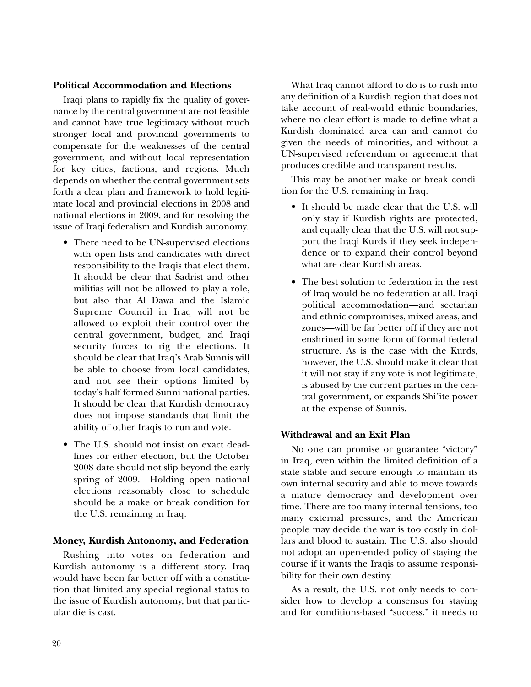#### **Political Accommodation and Elections**

Iraqi plans to rapidly fix the quality of governance by the central government are not feasible and cannot have true legitimacy without much stronger local and provincial governments to compensate for the weaknesses of the central government, and without local representation for key cities, factions, and regions. Much depends on whether the central government sets forth a clear plan and framework to hold legitimate local and provincial elections in 2008 and national elections in 2009, and for resolving the issue of Iraqi federalism and Kurdish autonomy.

- There need to be UN-supervised elections with open lists and candidates with direct responsibility to the Iraqis that elect them. It should be clear that Sadrist and other militias will not be allowed to play a role, but also that Al Dawa and the Islamic Supreme Council in Iraq will not be allowed to exploit their control over the central government, budget, and Iraqi security forces to rig the elections. It should be clear that Iraq's Arab Sunnis will be able to choose from local candidates, and not see their options limited by today's half-formed Sunni national parties. It should be clear that Kurdish democracy does not impose standards that limit the ability of other Iraqis to run and vote.
- The U.S. should not insist on exact deadlines for either election, but the October 2008 date should not slip beyond the early spring of 2009. Holding open national elections reasonably close to schedule should be a make or break condition for the U.S. remaining in Iraq.

#### **Money, Kurdish Autonomy, and Federation**

Rushing into votes on federation and Kurdish autonomy is a different story. Iraq would have been far better off with a constitution that limited any special regional status to the issue of Kurdish autonomy, but that particular die is cast.

What Iraq cannot afford to do is to rush into any definition of a Kurdish region that does not take account of real-world ethnic boundaries, where no clear effort is made to define what a Kurdish dominated area can and cannot do given the needs of minorities, and without a UN-supervised referendum or agreement that produces credible and transparent results.

This may be another make or break condition for the U.S. remaining in Iraq.

- It should be made clear that the U.S. will only stay if Kurdish rights are protected, and equally clear that the U.S. will not support the Iraqi Kurds if they seek independence or to expand their control beyond what are clear Kurdish areas.
- The best solution to federation in the rest of Iraq would be no federation at all. Iraqi political accommodation—and sectarian and ethnic compromises, mixed areas, and zones—will be far better off if they are not enshrined in some form of formal federal structure. As is the case with the Kurds, however, the U.S. should make it clear that it will not stay if any vote is not legitimate, is abused by the current parties in the central government, or expands Shi'ite power at the expense of Sunnis.

#### **Withdrawal and an Exit Plan**

No one can promise or guarantee "victory" in Iraq, even within the limited definition of a state stable and secure enough to maintain its own internal security and able to move towards a mature democracy and development over time. There are too many internal tensions, too many external pressures, and the American people may decide the war is too costly in dollars and blood to sustain. The U.S. also should not adopt an open-ended policy of staying the course if it wants the Iraqis to assume responsibility for their own destiny.

As a result, the U.S. not only needs to consider how to develop a consensus for staying and for conditions-based "success," it needs to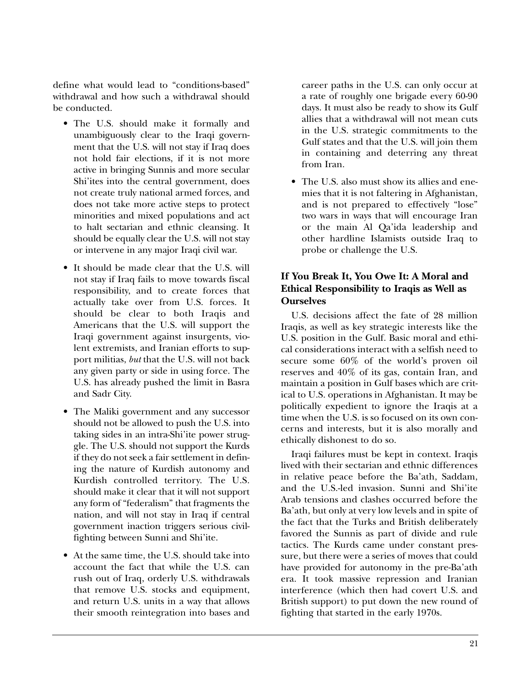define what would lead to "conditions-based" withdrawal and how such a withdrawal should be conducted.

- The U.S. should make it formally and unambiguously clear to the Iraqi government that the U.S. will not stay if Iraq does not hold fair elections, if it is not more active in bringing Sunnis and more secular Shi'ites into the central government, does not create truly national armed forces, and does not take more active steps to protect minorities and mixed populations and act to halt sectarian and ethnic cleansing. It should be equally clear the U.S. will not stay or intervene in any major Iraqi civil war.
- It should be made clear that the U.S. will not stay if Iraq fails to move towards fiscal responsibility, and to create forces that actually take over from U.S. forces. It should be clear to both Iraqis and Americans that the U.S. will support the Iraqi government against insurgents, violent extremists, and Iranian efforts to support militias, *but* that the U.S. will not back any given party or side in using force. The U.S. has already pushed the limit in Basra and Sadr City.
- The Maliki government and any successor should not be allowed to push the U.S. into taking sides in an intra-Shi'ite power struggle. The U.S. should not support the Kurds if they do not seek a fair settlement in defining the nature of Kurdish autonomy and Kurdish controlled territory. The U.S. should make it clear that it will not support any form of "federalism" that fragments the nation, and will not stay in Iraq if central government inaction triggers serious civilfighting between Sunni and Shi'ite.
- At the same time, the U.S. should take into account the fact that while the U.S. can rush out of Iraq, orderly U.S. withdrawals that remove U.S. stocks and equipment, and return U.S. units in a way that allows their smooth reintegration into bases and

career paths in the U.S. can only occur at a rate of roughly one brigade every 60-90 days. It must also be ready to show its Gulf allies that a withdrawal will not mean cuts in the U.S. strategic commitments to the Gulf states and that the U.S. will join them in containing and deterring any threat from Iran.

• The U.S. also must show its allies and enemies that it is not faltering in Afghanistan, and is not prepared to effectively "lose" two wars in ways that will encourage Iran or the main Al Qa'ida leadership and other hardline Islamists outside Iraq to probe or challenge the U.S.

## **If You Break It, You Owe It: A Moral and Ethical Responsibility to Iraqis as Well as Ourselves**

U.S. decisions affect the fate of 28 million Iraqis, as well as key strategic interests like the U.S. position in the Gulf. Basic moral and ethical considerations interact with a selfish need to secure some 60% of the world's proven oil reserves and 40% of its gas, contain Iran, and maintain a position in Gulf bases which are critical to U.S. operations in Afghanistan. It may be politically expedient to ignore the Iraqis at a time when the U.S. is so focused on its own concerns and interests, but it is also morally and ethically dishonest to do so.

Iraqi failures must be kept in context. Iraqis lived with their sectarian and ethnic differences in relative peace before the Ba'ath, Saddam, and the U.S.-led invasion. Sunni and Shi'ite Arab tensions and clashes occurred before the Ba'ath, but only at very low levels and in spite of the fact that the Turks and British deliberately favored the Sunnis as part of divide and rule tactics. The Kurds came under constant pressure, but there were a series of moves that could have provided for autonomy in the pre-Ba'ath era. It took massive repression and Iranian interference (which then had covert U.S. and British support) to put down the new round of fighting that started in the early 1970s.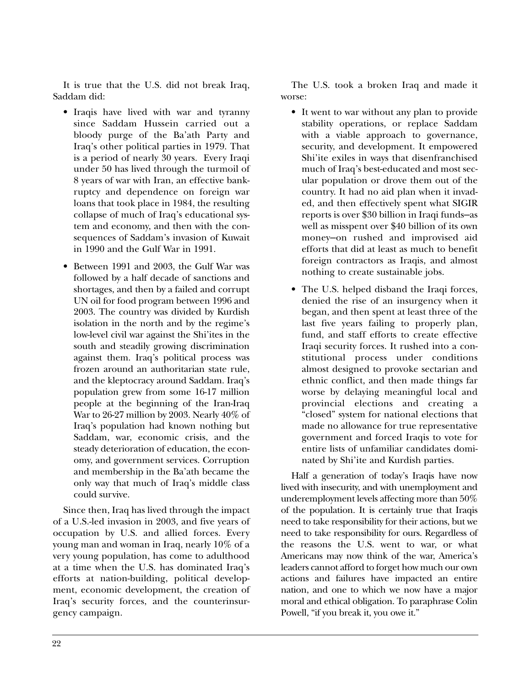It is true that the U.S. did not break Iraq, Saddam did:

- Iraqis have lived with war and tyranny since Saddam Hussein carried out a bloody purge of the Ba'ath Party and Iraq's other political parties in 1979. That is a period of nearly 30 years. Every Iraqi under 50 has lived through the turmoil of 8 years of war with Iran, an effective bankruptcy and dependence on foreign war loans that took place in 1984, the resulting collapse of much of Iraq's educational system and economy, and then with the consequences of Saddam's invasion of Kuwait in 1990 and the Gulf War in 1991.
- Between 1991 and 2003, the Gulf War was followed by a half decade of sanctions and shortages, and then by a failed and corrupt UN oil for food program between 1996 and 2003. The country was divided by Kurdish isolation in the north and by the regime's low-level civil war against the Shi'ites in the south and steadily growing discrimination against them. Iraq's political process was frozen around an authoritarian state rule, and the kleptocracy around Saddam. Iraq's population grew from some 16-17 million people at the beginning of the Iran-Iraq War to 26-27 million by 2003. Nearly 40% of Iraq's population had known nothing but Saddam, war, economic crisis, and the steady deterioration of education, the economy, and government services. Corruption and membership in the Ba'ath became the only way that much of Iraq's middle class could survive.

Since then, Iraq has lived through the impact of a U.S.-led invasion in 2003, and five years of occupation by U.S. and allied forces. Every young man and woman in Iraq, nearly 10% of a very young population, has come to adulthood at a time when the U.S. has dominated Iraq's efforts at nation-building, political development, economic development, the creation of Iraq's security forces, and the counterinsurgency campaign.

The U.S. took a broken Iraq and made it worse:

- It went to war without any plan to provide stability operations, or replace Saddam with a viable approach to governance, security, and development. It empowered Shi'ite exiles in ways that disenfranchised much of Iraq's best-educated and most secular population or drove them out of the country. It had no aid plan when it invaded, and then effectively spent what SIGIR reports is over \$30 billion in Iraqi funds—as well as misspent over \$40 billion of its own money—on rushed and improvised aid efforts that did at least as much to benefit foreign contractors as Iraqis, and almost nothing to create sustainable jobs.
- The U.S. helped disband the Iraqi forces, denied the rise of an insurgency when it began, and then spent at least three of the last five years failing to properly plan, fund, and staff efforts to create effective Iraqi security forces. It rushed into a constitutional process under conditions almost designed to provoke sectarian and ethnic conflict, and then made things far worse by delaying meaningful local and provincial elections and creating a "closed" system for national elections that made no allowance for true representative government and forced Iraqis to vote for entire lists of unfamiliar candidates dominated by Shi'ite and Kurdish parties.

Half a generation of today's Iraqis have now lived with insecurity, and with unemployment and underemployment levels affecting more than 50% of the population. It is certainly true that Iraqis need to take responsibility for their actions, but we need to take responsibility for ours. Regardless of the reasons the U.S. went to war, or what Americans may now think of the war, America's leaders cannot afford to forget how much our own actions and failures have impacted an entire nation, and one to which we now have a major moral and ethical obligation. To paraphrase Colin Powell, "if you break it, you owe it."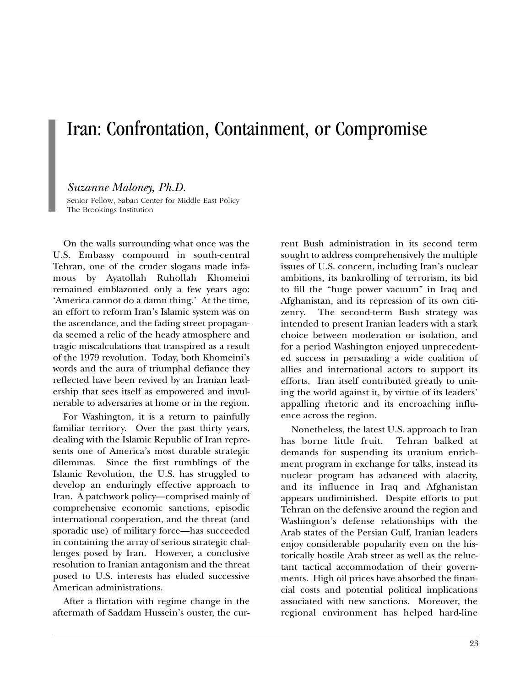## Iran: Confrontation, Containment, or Compromise

#### *Suzanne Maloney, Ph.D.*

Senior Fellow, Saban Center for Middle East Policy The Brookings Institution

On the walls surrounding what once was the U.S. Embassy compound in south-central Tehran, one of the cruder slogans made infamous by Ayatollah Ruhollah Khomeini remained emblazoned only a few years ago: 'America cannot do a damn thing.' At the time, an effort to reform Iran's Islamic system was on the ascendance, and the fading street propaganda seemed a relic of the heady atmosphere and tragic miscalculations that transpired as a result of the 1979 revolution. Today, both Khomeini's words and the aura of triumphal defiance they reflected have been revived by an Iranian leadership that sees itself as empowered and invulnerable to adversaries at home or in the region.

For Washington, it is a return to painfully familiar territory. Over the past thirty years, dealing with the Islamic Republic of Iran represents one of America's most durable strategic dilemmas. Since the first rumblings of the Islamic Revolution, the U.S. has struggled to develop an enduringly effective approach to Iran. A patchwork policy—comprised mainly of comprehensive economic sanctions, episodic international cooperation, and the threat (and sporadic use) of military force—has succeeded in containing the array of serious strategic challenges posed by Iran. However, a conclusive resolution to Iranian antagonism and the threat posed to U.S. interests has eluded successive American administrations.

After a flirtation with regime change in the aftermath of Saddam Hussein's ouster, the current Bush administration in its second term sought to address comprehensively the multiple issues of U.S. concern, including Iran's nuclear ambitions, its bankrolling of terrorism, its bid to fill the "huge power vacuum" in Iraq and Afghanistan, and its repression of its own citizenry. The second-term Bush strategy was intended to present Iranian leaders with a stark choice between moderation or isolation, and for a period Washington enjoyed unprecedented success in persuading a wide coalition of allies and international actors to support its efforts. Iran itself contributed greatly to uniting the world against it, by virtue of its leaders' appalling rhetoric and its encroaching influence across the region.

Nonetheless, the latest U.S. approach to Iran has borne little fruit. Tehran balked at demands for suspending its uranium enrichment program in exchange for talks, instead its nuclear program has advanced with alacrity, and its influence in Iraq and Afghanistan appears undiminished. Despite efforts to put Tehran on the defensive around the region and Washington's defense relationships with the Arab states of the Persian Gulf, Iranian leaders enjoy considerable popularity even on the historically hostile Arab street as well as the reluctant tactical accommodation of their governments. High oil prices have absorbed the financial costs and potential political implications associated with new sanctions. Moreover, the regional environment has helped hard-line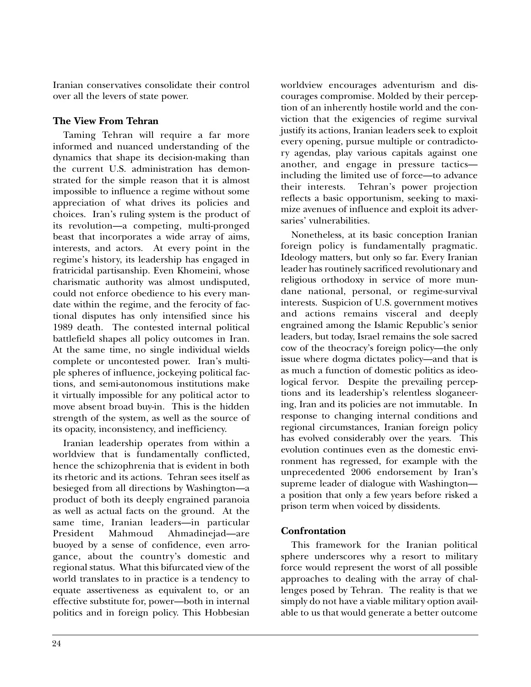Iranian conservatives consolidate their control over all the levers of state power.

## **The View From Tehran**

Taming Tehran will require a far more informed and nuanced understanding of the dynamics that shape its decision-making than the current U.S. administration has demonstrated for the simple reason that it is almost impossible to influence a regime without some appreciation of what drives its policies and choices. Iran's ruling system is the product of its revolution—a competing, multi-pronged beast that incorporates a wide array of aims, interests, and actors. At every point in the regime's history, its leadership has engaged in fratricidal partisanship. Even Khomeini, whose charismatic authority was almost undisputed, could not enforce obedience to his every mandate within the regime, and the ferocity of factional disputes has only intensified since his 1989 death. The contested internal political battlefield shapes all policy outcomes in Iran. At the same time, no single individual wields complete or uncontested power. Iran's multiple spheres of influence, jockeying political factions, and semi-autonomous institutions make it virtually impossible for any political actor to move absent broad buy-in. This is the hidden strength of the system, as well as the source of its opacity, inconsistency, and inefficiency.

Iranian leadership operates from within a worldview that is fundamentally conflicted, hence the schizophrenia that is evident in both its rhetoric and its actions. Tehran sees itself as besieged from all directions by Washington—a product of both its deeply engrained paranoia as well as actual facts on the ground. At the same time, Iranian leaders—in particular President Mahmoud Ahmadinejad—are buoyed by a sense of confidence, even arrogance, about the country's domestic and regional status. What this bifurcated view of the world translates to in practice is a tendency to equate assertiveness as equivalent to, or an effective substitute for, power—both in internal politics and in foreign policy. This Hobbesian

worldview encourages adventurism and discourages compromise. Molded by their perception of an inherently hostile world and the conviction that the exigencies of regime survival justify its actions, Iranian leaders seek to exploit every opening, pursue multiple or contradictory agendas, play various capitals against one another, and engage in pressure tactics including the limited use of force—to advance their interests. Tehran's power projection reflects a basic opportunism, seeking to maximize avenues of influence and exploit its adversaries' vulnerabilities.

Nonetheless, at its basic conception Iranian foreign policy is fundamentally pragmatic. Ideology matters, but only so far. Every Iranian leader has routinely sacrificed revolutionary and religious orthodoxy in service of more mundane national, personal, or regime-survival interests. Suspicion of U.S. government motives and actions remains visceral and deeply engrained among the Islamic Republic's senior leaders, but today, Israel remains the sole sacred cow of the theocracy's foreign policy—the only issue where dogma dictates policy—and that is as much a function of domestic politics as ideological fervor. Despite the prevailing perceptions and its leadership's relentless sloganeering, Iran and its policies are not immutable. In response to changing internal conditions and regional circumstances, Iranian foreign policy has evolved considerably over the years. This evolution continues even as the domestic environment has regressed, for example with the unprecedented 2006 endorsement by Iran's supreme leader of dialogue with Washington a position that only a few years before risked a prison term when voiced by dissidents.

## **Confrontation**

This framework for the Iranian political sphere underscores why a resort to military force would represent the worst of all possible approaches to dealing with the array of challenges posed by Tehran. The reality is that we simply do not have a viable military option available to us that would generate a better outcome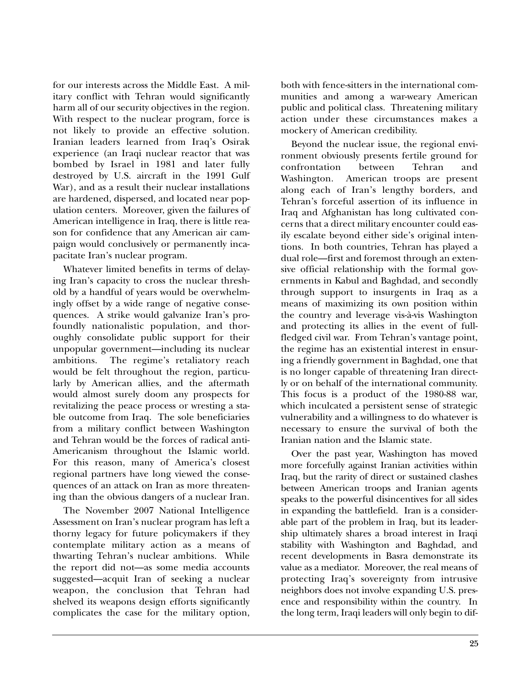for our interests across the Middle East. A military conflict with Tehran would significantly harm all of our security objectives in the region. With respect to the nuclear program, force is not likely to provide an effective solution. Iranian leaders learned from Iraq's Osirak experience (an Iraqi nuclear reactor that was bombed by Israel in 1981 and later fully destroyed by U.S. aircraft in the 1991 Gulf War), and as a result their nuclear installations are hardened, dispersed, and located near population centers. Moreover, given the failures of American intelligence in Iraq, there is little reason for confidence that any American air campaign would conclusively or permanently incapacitate Iran's nuclear program.

Whatever limited benefits in terms of delaying Iran's capacity to cross the nuclear threshold by a handful of years would be overwhelmingly offset by a wide range of negative consequences. A strike would galvanize Iran's profoundly nationalistic population, and thoroughly consolidate public support for their unpopular government—including its nuclear ambitions. The regime's retaliatory reach would be felt throughout the region, particularly by American allies, and the aftermath would almost surely doom any prospects for revitalizing the peace process or wresting a stable outcome from Iraq. The sole beneficiaries from a military conflict between Washington and Tehran would be the forces of radical anti-Americanism throughout the Islamic world. For this reason, many of America's closest regional partners have long viewed the consequences of an attack on Iran as more threatening than the obvious dangers of a nuclear Iran.

The November 2007 National Intelligence Assessment on Iran's nuclear program has left a thorny legacy for future policymakers if they contemplate military action as a means of thwarting Tehran's nuclear ambitions. While the report did not—as some media accounts suggested—acquit Iran of seeking a nuclear weapon, the conclusion that Tehran had shelved its weapons design efforts significantly complicates the case for the military option,

both with fence-sitters in the international communities and among a war-weary American public and political class. Threatening military action under these circumstances makes a mockery of American credibility.

Beyond the nuclear issue, the regional environment obviously presents fertile ground for confrontation between Tehran and Washington. American troops are present along each of Iran's lengthy borders, and Tehran's forceful assertion of its influence in Iraq and Afghanistan has long cultivated concerns that a direct military encounter could easily escalate beyond either side's original intentions. In both countries, Tehran has played a dual role—first and foremost through an extensive official relationship with the formal governments in Kabul and Baghdad, and secondly through support to insurgents in Iraq as a means of maximizing its own position within the country and leverage vis-à-vis Washington and protecting its allies in the event of fullfledged civil war. From Tehran's vantage point, the regime has an existential interest in ensuring a friendly government in Baghdad, one that is no longer capable of threatening Iran directly or on behalf of the international community. This focus is a product of the 1980-88 war, which inculcated a persistent sense of strategic vulnerability and a willingness to do whatever is necessary to ensure the survival of both the Iranian nation and the Islamic state.

Over the past year, Washington has moved more forcefully against Iranian activities within Iraq, but the rarity of direct or sustained clashes between American troops and Iranian agents speaks to the powerful disincentives for all sides in expanding the battlefield. Iran is a considerable part of the problem in Iraq, but its leadership ultimately shares a broad interest in Iraqi stability with Washington and Baghdad, and recent developments in Basra demonstrate its value as a mediator. Moreover, the real means of protecting Iraq's sovereignty from intrusive neighbors does not involve expanding U.S. presence and responsibility within the country. In the long term, Iraqi leaders will only begin to dif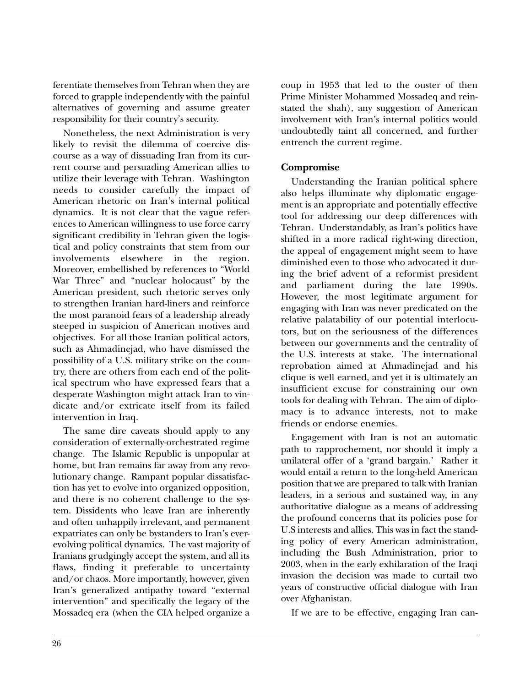ferentiate themselves from Tehran when they are forced to grapple independently with the painful alternatives of governing and assume greater responsibility for their country's security.

Nonetheless, the next Administration is very likely to revisit the dilemma of coercive discourse as a way of dissuading Iran from its current course and persuading American allies to utilize their leverage with Tehran. Washington needs to consider carefully the impact of American rhetoric on Iran's internal political dynamics. It is not clear that the vague references to American willingness to use force carry significant credibility in Tehran given the logistical and policy constraints that stem from our<br>involvements elsewhere in the region. elsewhere in the region. Moreover, embellished by references to "World War Three" and "nuclear holocaust" by the American president, such rhetoric serves only to strengthen Iranian hard-liners and reinforce the most paranoid fears of a leadership already steeped in suspicion of American motives and objectives. For all those Iranian political actors, such as Ahmadinejad, who have dismissed the possibility of a U.S. military strike on the country, there are others from each end of the political spectrum who have expressed fears that a desperate Washington might attack Iran to vindicate and/or extricate itself from its failed intervention in Iraq.

The same dire caveats should apply to any consideration of externally-orchestrated regime change. The Islamic Republic is unpopular at home, but Iran remains far away from any revolutionary change. Rampant popular dissatisfaction has yet to evolve into organized opposition, and there is no coherent challenge to the system. Dissidents who leave Iran are inherently and often unhappily irrelevant, and permanent expatriates can only be bystanders to Iran's everevolving political dynamics. The vast majority of Iranians grudgingly accept the system, and all its flaws, finding it preferable to uncertainty and/or chaos. More importantly, however, given Iran's generalized antipathy toward "external intervention" and specifically the legacy of the Mossadeq era (when the CIA helped organize a coup in 1953 that led to the ouster of then Prime Minister Mohammed Mossadeq and reinstated the shah), any suggestion of American involvement with Iran's internal politics would undoubtedly taint all concerned, and further entrench the current regime.

### **Compromise**

Understanding the Iranian political sphere also helps illuminate why diplomatic engagement is an appropriate and potentially effective tool for addressing our deep differences with Tehran. Understandably, as Iran's politics have shifted in a more radical right-wing direction, the appeal of engagement might seem to have diminished even to those who advocated it during the brief advent of a reformist president and parliament during the late 1990s. However, the most legitimate argument for engaging with Iran was never predicated on the relative palatability of our potential interlocutors, but on the seriousness of the differences between our governments and the centrality of the U.S. interests at stake. The international reprobation aimed at Ahmadinejad and his clique is well earned, and yet it is ultimately an insufficient excuse for constraining our own tools for dealing with Tehran. The aim of diplomacy is to advance interests, not to make friends or endorse enemies.

Engagement with Iran is not an automatic path to rapprochement, nor should it imply a unilateral offer of a 'grand bargain.' Rather it would entail a return to the long-held American position that we are prepared to talk with Iranian leaders, in a serious and sustained way, in any authoritative dialogue as a means of addressing the profound concerns that its policies pose for U.S interests and allies. This was in fact the standing policy of every American administration, including the Bush Administration, prior to 2003, when in the early exhilaration of the Iraqi invasion the decision was made to curtail two years of constructive official dialogue with Iran over Afghanistan.

If we are to be effective, engaging Iran can-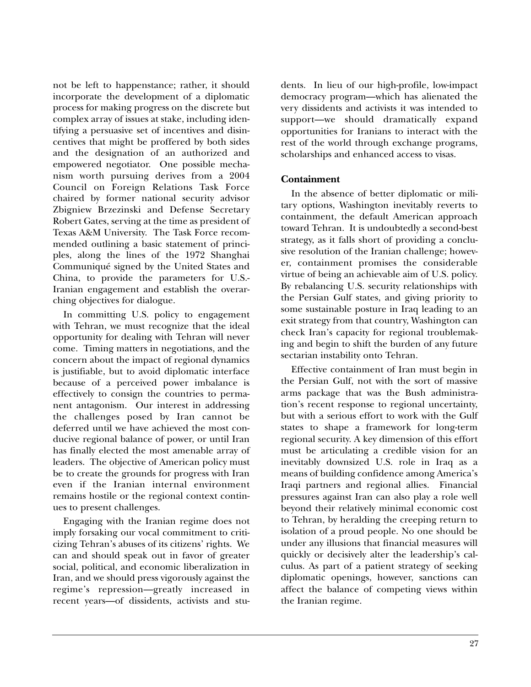not be left to happenstance; rather, it should incorporate the development of a diplomatic process for making progress on the discrete but complex array of issues at stake, including identifying a persuasive set of incentives and disincentives that might be proffered by both sides and the designation of an authorized and empowered negotiator. One possible mechanism worth pursuing derives from a 2004 Council on Foreign Relations Task Force chaired by former national security advisor Zbigniew Brzezinski and Defense Secretary Robert Gates, serving at the time as president of Texas A&M University. The Task Force recommended outlining a basic statement of principles, along the lines of the 1972 Shanghai Communiqué signed by the United States and China, to provide the parameters for U.S.- Iranian engagement and establish the overarching objectives for dialogue.

In committing U.S. policy to engagement with Tehran, we must recognize that the ideal opportunity for dealing with Tehran will never come. Timing matters in negotiations, and the concern about the impact of regional dynamics is justifiable, but to avoid diplomatic interface because of a perceived power imbalance is effectively to consign the countries to permanent antagonism. Our interest in addressing the challenges posed by Iran cannot be deferred until we have achieved the most conducive regional balance of power, or until Iran has finally elected the most amenable array of leaders. The objective of American policy must be to create the grounds for progress with Iran even if the Iranian internal environment remains hostile or the regional context continues to present challenges.

Engaging with the Iranian regime does not imply forsaking our vocal commitment to criticizing Tehran's abuses of its citizens' rights. We can and should speak out in favor of greater social, political, and economic liberalization in Iran, and we should press vigorously against the regime's repression—greatly increased in recent years—of dissidents, activists and students. In lieu of our high-profile, low-impact democracy program—which has alienated the very dissidents and activists it was intended to support—we should dramatically expand opportunities for Iranians to interact with the rest of the world through exchange programs, scholarships and enhanced access to visas.

#### **Containment**

In the absence of better diplomatic or military options, Washington inevitably reverts to containment, the default American approach toward Tehran. It is undoubtedly a second-best strategy, as it falls short of providing a conclusive resolution of the Iranian challenge; however, containment promises the considerable virtue of being an achievable aim of U.S. policy. By rebalancing U.S. security relationships with the Persian Gulf states, and giving priority to some sustainable posture in Iraq leading to an exit strategy from that country, Washington can check Iran's capacity for regional troublemaking and begin to shift the burden of any future sectarian instability onto Tehran.

Effective containment of Iran must begin in the Persian Gulf, not with the sort of massive arms package that was the Bush administration's recent response to regional uncertainty, but with a serious effort to work with the Gulf states to shape a framework for long-term regional security. A key dimension of this effort must be articulating a credible vision for an inevitably downsized U.S. role in Iraq as a means of building confidence among America's Iraqi partners and regional allies. Financial pressures against Iran can also play a role well beyond their relatively minimal economic cost to Tehran, by heralding the creeping return to isolation of a proud people. No one should be under any illusions that financial measures will quickly or decisively alter the leadership's calculus. As part of a patient strategy of seeking diplomatic openings, however, sanctions can affect the balance of competing views within the Iranian regime.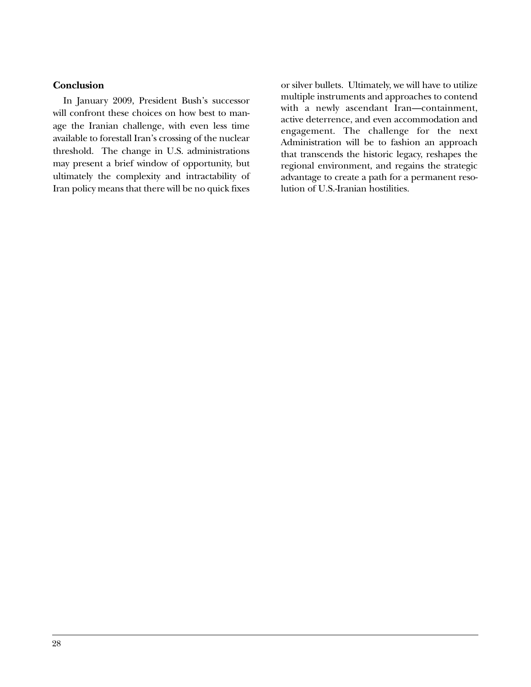#### **Conclusion**

In January 2009, President Bush's successor will confront these choices on how best to manage the Iranian challenge, with even less time available to forestall Iran's crossing of the nuclear threshold. The change in U.S. administrations may present a brief window of opportunity, but ultimately the complexity and intractability of Iran policy means that there will be no quick fixes

or silver bullets. Ultimately, we will have to utilize multiple instruments and approaches to contend with a newly ascendant Iran—containment, active deterrence, and even accommodation and engagement. The challenge for the next Administration will be to fashion an approach that transcends the historic legacy, reshapes the regional environment, and regains the strategic advantage to create a path for a permanent resolution of U.S.-Iranian hostilities.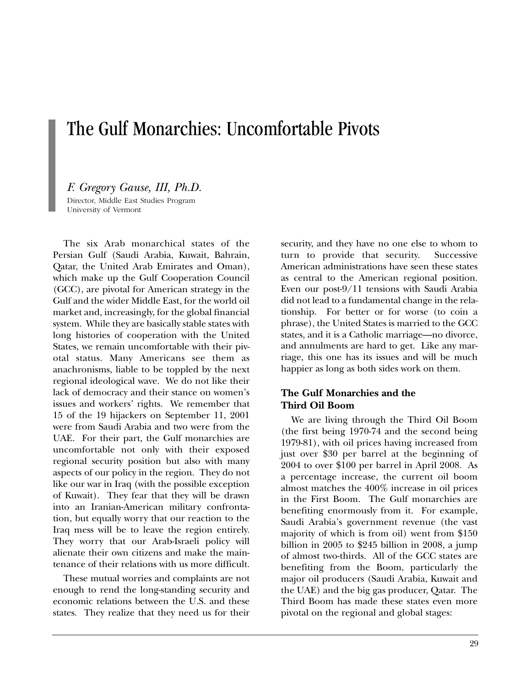## The Gulf Monarchies: Uncomfortable Pivots

*F. Gregory Gause, III, Ph.D.* Director, Middle East Studies Program University of Vermont

The six Arab monarchical states of the Persian Gulf (Saudi Arabia, Kuwait, Bahrain, Qatar, the United Arab Emirates and Oman), which make up the Gulf Cooperation Council (GCC), are pivotal for American strategy in the Gulf and the wider Middle East, for the world oil market and, increasingly, for the global financial system. While they are basically stable states with long histories of cooperation with the United States, we remain uncomfortable with their pivotal status. Many Americans see them as anachronisms, liable to be toppled by the next regional ideological wave. We do not like their lack of democracy and their stance on women's issues and workers' rights. We remember that 15 of the 19 hijackers on September 11, 2001 were from Saudi Arabia and two were from the UAE. For their part, the Gulf monarchies are uncomfortable not only with their exposed regional security position but also with many aspects of our policy in the region. They do not like our war in Iraq (with the possible exception of Kuwait). They fear that they will be drawn into an Iranian-American military confrontation, but equally worry that our reaction to the Iraq mess will be to leave the region entirely. They worry that our Arab-Israeli policy will alienate their own citizens and make the maintenance of their relations with us more difficult.

These mutual worries and complaints are not enough to rend the long-standing security and economic relations between the U.S. and these states. They realize that they need us for their security, and they have no one else to whom to turn to provide that security. Successive American administrations have seen these states as central to the American regional position. Even our post-9/11 tensions with Saudi Arabia did not lead to a fundamental change in the relationship. For better or for worse (to coin a phrase), the United States is married to the GCC states, and it is a Catholic marriage—no divorce, and annulments are hard to get. Like any marriage, this one has its issues and will be much happier as long as both sides work on them.

## **The Gulf Monarchies and the Third Oil Boom**

We are living through the Third Oil Boom (the first being 1970-74 and the second being 1979-81), with oil prices having increased from just over \$30 per barrel at the beginning of 2004 to over \$100 per barrel in April 2008. As a percentage increase, the current oil boom almost matches the 400% increase in oil prices in the First Boom. The Gulf monarchies are benefiting enormously from it. For example, Saudi Arabia's government revenue (the vast majority of which is from oil) went from \$150 billion in 2005 to \$245 billion in 2008, a jump of almost two-thirds. All of the GCC states are benefiting from the Boom, particularly the major oil producers (Saudi Arabia, Kuwait and the UAE) and the big gas producer, Qatar. The Third Boom has made these states even more pivotal on the regional and global stages: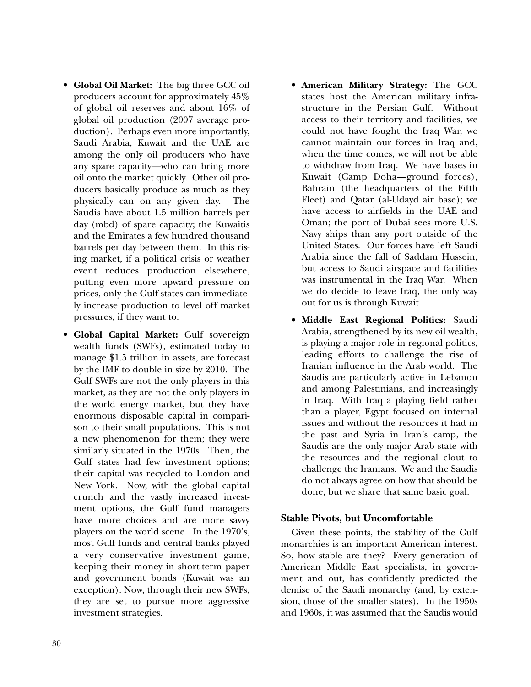- **Global Oil Market:** The big three GCC oil producers account for approximately 45% of global oil reserves and about 16% of global oil production (2007 average production). Perhaps even more importantly, Saudi Arabia, Kuwait and the UAE are among the only oil producers who have any spare capacity—who can bring more oil onto the market quickly. Other oil producers basically produce as much as they physically can on any given day. The Saudis have about 1.5 million barrels per day (mbd) of spare capacity; the Kuwaitis and the Emirates a few hundred thousand barrels per day between them. In this rising market, if a political crisis or weather event reduces production elsewhere, putting even more upward pressure on prices, only the Gulf states can immediately increase production to level off market pressures, if they want to.
- **Global Capital Market:** Gulf sovereign wealth funds (SWFs), estimated today to manage \$1.5 trillion in assets, are forecast by the IMF to double in size by 2010. The Gulf SWFs are not the only players in this market, as they are not the only players in the world energy market, but they have enormous disposable capital in comparison to their small populations. This is not a new phenomenon for them; they were similarly situated in the 1970s. Then, the Gulf states had few investment options; their capital was recycled to London and New York. Now, with the global capital crunch and the vastly increased investment options, the Gulf fund managers have more choices and are more savvy players on the world scene. In the 1970's, most Gulf funds and central banks played a very conservative investment game, keeping their money in short-term paper and government bonds (Kuwait was an exception). Now, through their new SWFs, they are set to pursue more aggressive investment strategies.
- **American Military Strategy:** The GCC states host the American military infrastructure in the Persian Gulf. Without access to their territory and facilities, we could not have fought the Iraq War, we cannot maintain our forces in Iraq and, when the time comes, we will not be able to withdraw from Iraq. We have bases in Kuwait (Camp Doha—ground forces), Bahrain (the headquarters of the Fifth Fleet) and Qatar (al-Udayd air base); we have access to airfields in the UAE and Oman; the port of Dubai sees more U.S. Navy ships than any port outside of the United States. Our forces have left Saudi Arabia since the fall of Saddam Hussein, but access to Saudi airspace and facilities was instrumental in the Iraq War. When we do decide to leave Iraq, the only way out for us is through Kuwait.
- **Middle East Regional Politics:** Saudi Arabia, strengthened by its new oil wealth, is playing a major role in regional politics, leading efforts to challenge the rise of Iranian influence in the Arab world. The Saudis are particularly active in Lebanon and among Palestinians, and increasingly in Iraq. With Iraq a playing field rather than a player, Egypt focused on internal issues and without the resources it had in the past and Syria in Iran's camp, the Saudis are the only major Arab state with the resources and the regional clout to challenge the Iranians. We and the Saudis do not always agree on how that should be done, but we share that same basic goal.

#### **Stable Pivots, but Uncomfortable**

Given these points, the stability of the Gulf monarchies is an important American interest. So, how stable are they? Every generation of American Middle East specialists, in government and out, has confidently predicted the demise of the Saudi monarchy (and, by extension, those of the smaller states). In the 1950s and 1960s, it was assumed that the Saudis would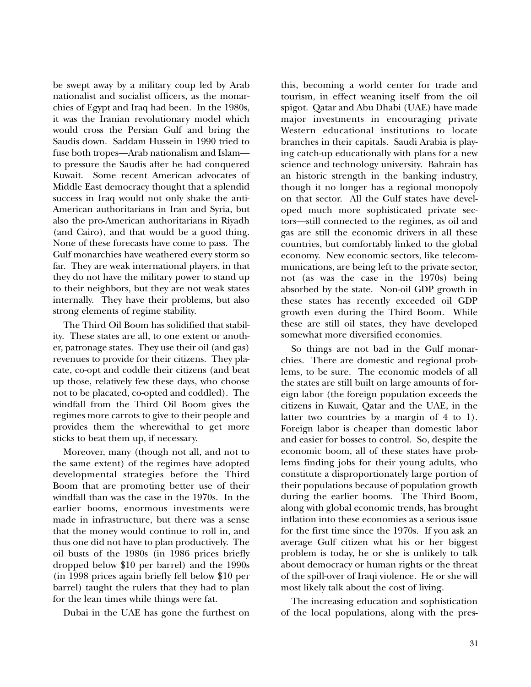be swept away by a military coup led by Arab nationalist and socialist officers, as the monarchies of Egypt and Iraq had been. In the 1980s, it was the Iranian revolutionary model which would cross the Persian Gulf and bring the Saudis down. Saddam Hussein in 1990 tried to fuse both tropes—Arab nationalism and Islam to pressure the Saudis after he had conquered Kuwait. Some recent American advocates of Middle East democracy thought that a splendid success in Iraq would not only shake the anti-American authoritarians in Iran and Syria, but also the pro-American authoritarians in Riyadh (and Cairo), and that would be a good thing. None of these forecasts have come to pass. The Gulf monarchies have weathered every storm so far. They are weak international players, in that they do not have the military power to stand up to their neighbors, but they are not weak states internally. They have their problems, but also strong elements of regime stability.

The Third Oil Boom has solidified that stability. These states are all, to one extent or another, patronage states. They use their oil (and gas) revenues to provide for their citizens. They placate, co-opt and coddle their citizens (and beat up those, relatively few these days, who choose not to be placated, co-opted and coddled). The windfall from the Third Oil Boom gives the regimes more carrots to give to their people and provides them the wherewithal to get more sticks to beat them up, if necessary.

Moreover, many (though not all, and not to the same extent) of the regimes have adopted developmental strategies before the Third Boom that are promoting better use of their windfall than was the case in the 1970s. In the earlier booms, enormous investments were made in infrastructure, but there was a sense that the money would continue to roll in, and thus one did not have to plan productively. The oil busts of the 1980s (in 1986 prices briefly dropped below \$10 per barrel) and the 1990s (in 1998 prices again briefly fell below \$10 per barrel) taught the rulers that they had to plan for the lean times while things were fat.

Dubai in the UAE has gone the furthest on

this, becoming a world center for trade and tourism, in effect weaning itself from the oil spigot. Qatar and Abu Dhabi (UAE) have made major investments in encouraging private Western educational institutions to locate branches in their capitals. Saudi Arabia is playing catch-up educationally with plans for a new science and technology university. Bahrain has an historic strength in the banking industry, though it no longer has a regional monopoly on that sector. All the Gulf states have developed much more sophisticated private sectors—still connected to the regimes, as oil and gas are still the economic drivers in all these countries, but comfortably linked to the global economy. New economic sectors, like telecommunications, are being left to the private sector, not (as was the case in the 1970s) being absorbed by the state. Non-oil GDP growth in these states has recently exceeded oil GDP growth even during the Third Boom. While these are still oil states, they have developed somewhat more diversified economies.

So things are not bad in the Gulf monarchies. There are domestic and regional problems, to be sure. The economic models of all the states are still built on large amounts of foreign labor (the foreign population exceeds the citizens in Kuwait, Qatar and the UAE, in the latter two countries by a margin of 4 to 1). Foreign labor is cheaper than domestic labor and easier for bosses to control. So, despite the economic boom, all of these states have problems finding jobs for their young adults, who constitute a disproportionately large portion of their populations because of population growth during the earlier booms. The Third Boom, along with global economic trends, has brought inflation into these economies as a serious issue for the first time since the 1970s. If you ask an average Gulf citizen what his or her biggest problem is today, he or she is unlikely to talk about democracy or human rights or the threat of the spill-over of Iraqi violence. He or she will most likely talk about the cost of living.

The increasing education and sophistication of the local populations, along with the pres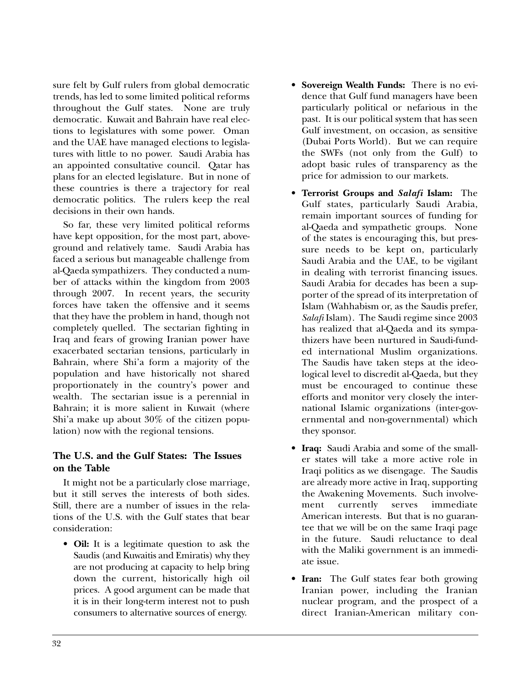sure felt by Gulf rulers from global democratic trends, has led to some limited political reforms throughout the Gulf states. None are truly democratic. Kuwait and Bahrain have real elections to legislatures with some power. Oman and the UAE have managed elections to legislatures with little to no power. Saudi Arabia has an appointed consultative council. Qatar has plans for an elected legislature. But in none of these countries is there a trajectory for real democratic politics. The rulers keep the real decisions in their own hands.

So far, these very limited political reforms have kept opposition, for the most part, aboveground and relatively tame. Saudi Arabia has faced a serious but manageable challenge from al-Qaeda sympathizers. They conducted a number of attacks within the kingdom from 2003 through 2007. In recent years, the security forces have taken the offensive and it seems that they have the problem in hand, though not completely quelled. The sectarian fighting in Iraq and fears of growing Iranian power have exacerbated sectarian tensions, particularly in Bahrain, where Shi'a form a majority of the population and have historically not shared proportionately in the country's power and wealth. The sectarian issue is a perennial in Bahrain; it is more salient in Kuwait (where Shi'a make up about 30% of the citizen population) now with the regional tensions.

## **The U.S. and the Gulf States: The Issues on the Table**

It might not be a particularly close marriage, but it still serves the interests of both sides. Still, there are a number of issues in the relations of the U.S. with the Gulf states that bear consideration:

• **Oil:** It is a legitimate question to ask the Saudis (and Kuwaitis and Emiratis) why they are not producing at capacity to help bring down the current, historically high oil prices. A good argument can be made that it is in their long-term interest not to push consumers to alternative sources of energy.

- **Sovereign Wealth Funds:** There is no evidence that Gulf fund managers have been particularly political or nefarious in the past. It is our political system that has seen Gulf investment, on occasion, as sensitive (Dubai Ports World). But we can require the SWFs (not only from the Gulf) to adopt basic rules of transparency as the price for admission to our markets.
- **Terrorist Groups and** *Salafi* **Islam:** The Gulf states, particularly Saudi Arabia, remain important sources of funding for al-Qaeda and sympathetic groups. None of the states is encouraging this, but pressure needs to be kept on, particularly Saudi Arabia and the UAE, to be vigilant in dealing with terrorist financing issues. Saudi Arabia for decades has been a supporter of the spread of its interpretation of Islam (Wahhabism or, as the Saudis prefer, *Salafi* Islam). The Saudi regime since 2003 has realized that al-Qaeda and its sympathizers have been nurtured in Saudi-funded international Muslim organizations. The Saudis have taken steps at the ideological level to discredit al-Qaeda, but they must be encouraged to continue these efforts and monitor very closely the international Islamic organizations (inter-governmental and non-governmental) which they sponsor.
- **Iraq:** Saudi Arabia and some of the smaller states will take a more active role in Iraqi politics as we disengage. The Saudis are already more active in Iraq, supporting the Awakening Movements. Such involvement currently serves immediate American interests. But that is no guarantee that we will be on the same Iraqi page in the future. Saudi reluctance to deal with the Maliki government is an immediate issue.
- **Iran:** The Gulf states fear both growing Iranian power, including the Iranian nuclear program, and the prospect of a direct Iranian-American military con-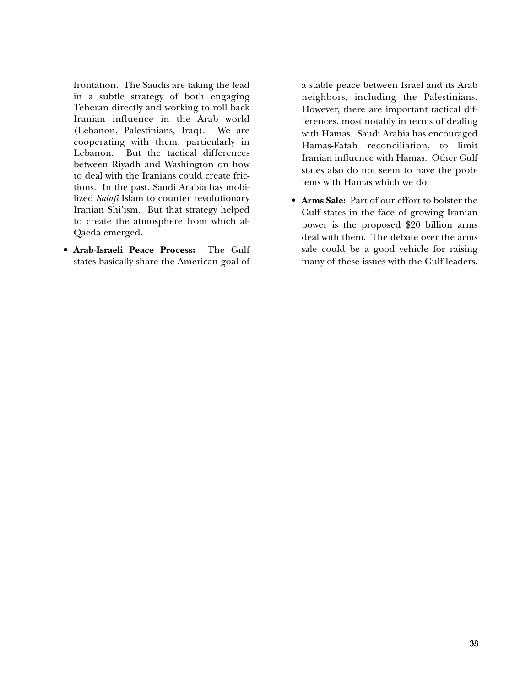frontation. The Saudis are taking the lead in a subtle strategy of both engaging Teheran directly and working to roll back Iranian influence in the Arab world (Lebanon, Palestinians, Iraq). We are cooperating with them, particularly in Lebanon. But the tactical differences between Riyadh and Washington on how to deal with the Iranians could create frictions. In the past, Saudi Arabia has mobilized *Salafi* Islam to counter revolutionary Iranian Shi'ism. But that strategy helped to create the atmosphere from which al-Qaeda emerged.

• **Arab-Israeli Peace Process:** The Gulf states basically share the American goal of a stable peace between Israel and its Arab neighbors, including the Palestinians. However, there are important tactical differences, most notably in terms of dealing with Hamas. Saudi Arabia has encouraged Hamas-Fatah reconciliation, to limit Iranian influence with Hamas. Other Gulf states also do not seem to have the problems with Hamas which we do.

• **Arms Sale:** Part of our effort to bolster the Gulf states in the face of growing Iranian power is the proposed \$20 billion arms deal with them. The debate over the arms sale could be a good vehicle for raising many of these issues with the Gulf leaders.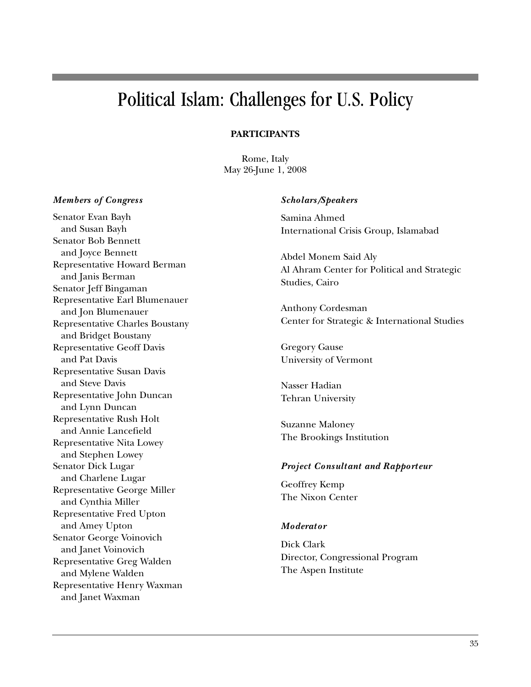## Political Islam: Challenges for U.S. Policy

### **PARTICIPANTS**

Rome, Italy May 26-June 1, 2008

#### *Members of Congress*

Senator Evan Bayh and Susan Bayh Senator Bob Bennett and Joyce Bennett Representative Howard Berman and Janis Berman Senator Jeff Bingaman Representative Earl Blumenauer and Jon Blumenauer Representative Charles Boustany and Bridget Boustany Representative Geoff Davis and Pat Davis Representative Susan Davis and Steve Davis Representative John Duncan and Lynn Duncan Representative Rush Holt and Annie Lancefield Representative Nita Lowey and Stephen Lowey Senator Dick Lugar and Charlene Lugar Representative George Miller and Cynthia Miller Representative Fred Upton and Amey Upton Senator George Voinovich and Janet Voinovich Representative Greg Walden and Mylene Walden Representative Henry Waxman and Janet Waxman

#### *Scholars/Speakers*

Samina Ahmed International Crisis Group, Islamabad

Abdel Monem Said Aly Al Ahram Center for Political and Strategic Studies, Cairo

Anthony Cordesman Center for Strategic & International Studies

Gregory Gause University of Vermont

Nasser Hadian Tehran University

Suzanne Maloney The Brookings Institution

#### *Project Consultant and Rapport eur*

Geoffrey Kemp The Nixon Center

#### *Moderator*

Dick Clark Director, Congressional Program The Aspen Institute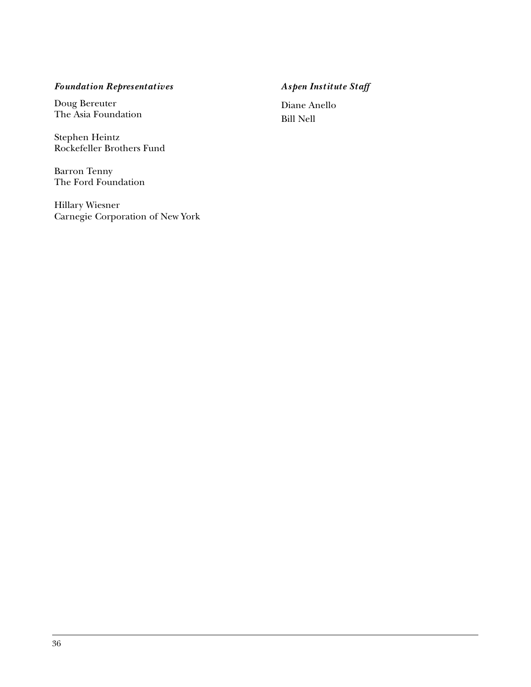## *Foundation Repres entatives*

Doug Bereuter The Asia Foundation

Stephen Heintz Rockefeller Brothers Fund

Barron Tenny The Ford Foundation

Hillary Wiesner Carnegie Corporation of New York

## *Aspen Institut e Staff*

Diane Anello Bill Nell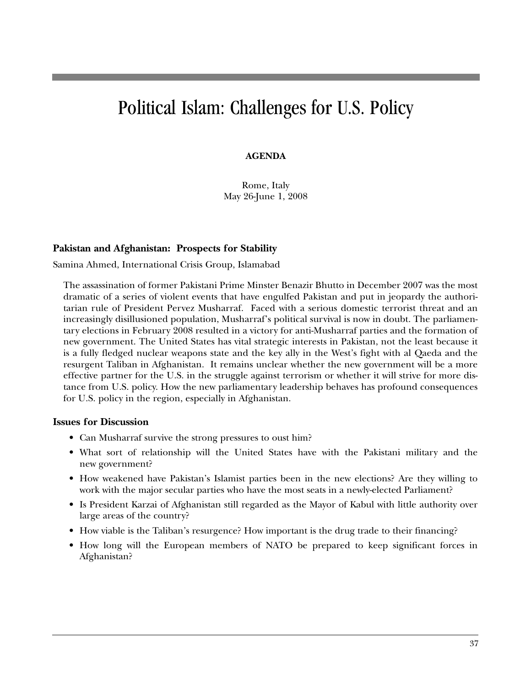## Political Islam: Challenges for U.S. Policy

#### **AGENDA**

Rome, Italy May 26-June 1, 2008

#### **Pakistan and Afghanistan: Prospects for Stability**

Samina Ahmed, International Crisis Group, Islamabad

The assassination of former Pakistani Prime Minster Benazir Bhutto in December 2007 was the most dramatic of a series of violent events that have engulfed Pakistan and put in jeopardy the authoritarian rule of President Pervez Musharraf. Faced with a serious domestic terrorist threat and an increasingly disillusioned population, Musharraf's political survival is now in doubt. The parliamentary elections in February 2008 resulted in a victory for anti-Musharraf parties and the formation of new government. The United States has vital strategic interests in Pakistan, not the least because it is a fully fledged nuclear weapons state and the key ally in the West's fight with al Qaeda and the resurgent Taliban in Afghanistan. It remains unclear whether the new government will be a more effective partner for the U.S. in the struggle against terrorism or whether it will strive for more distance from U.S. policy. How the new parliamentary leadership behaves has profound consequences for U.S. policy in the region, especially in Afghanistan.

#### **Issues for Discussion**

- Can Musharraf survive the strong pressures to oust him?
- What sort of relationship will the United States have with the Pakistani military and the new government?
- How weakened have Pakistan's Islamist parties been in the new elections? Are they willing to work with the major secular parties who have the most seats in a newly-elected Parliament?
- Is President Karzai of Afghanistan still regarded as the Mayor of Kabul with little authority over large areas of the country?
- How viable is the Taliban's resurgence? How important is the drug trade to their financing?
- How long will the European members of NATO be prepared to keep significant forces in Afghanistan?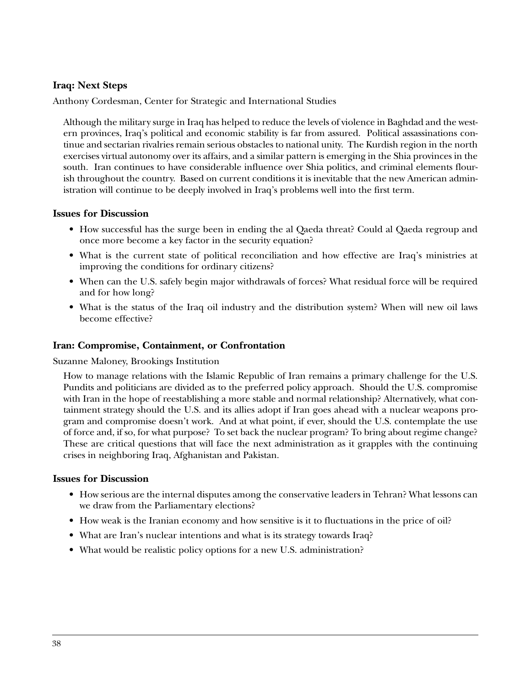### **Iraq: Next Steps**

Anthony Cordesman, Center for Strategic and International Studies

Although the military surge in Iraq has helped to reduce the levels of violence in Baghdad and the western provinces, Iraq's political and economic stability is far from assured. Political assassinations continue and sectarian rivalries remain serious obstacles to national unity. The Kurdish region in the north exercises virtual autonomy over its affairs, and a similar pattern is emerging in the Shia provinces in the south. Iran continues to have considerable influence over Shia politics, and criminal elements flourish throughout the country. Based on current conditions it is inevitable that the new American administration will continue to be deeply involved in Iraq's problems well into the first term.

#### **Issues for Discussion**

- How successful has the surge been in ending the al Qaeda threat? Could al Qaeda regroup and once more become a key factor in the security equation?
- What is the current state of political reconciliation and how effective are Iraq's ministries at improving the conditions for ordinary citizens?
- When can the U.S. safely begin major withdrawals of forces? What residual force will be required and for how long?
- What is the status of the Iraq oil industry and the distribution system? When will new oil laws become effective?

#### **Iran: Compromise, Containment, or Confrontation**

Suzanne Maloney, Brookings Institution

How to manage relations with the Islamic Republic of Iran remains a primary challenge for the U.S. Pundits and politicians are divided as to the preferred policy approach. Should the U.S. compromise with Iran in the hope of reestablishing a more stable and normal relationship? Alternatively, what containment strategy should the U.S. and its allies adopt if Iran goes ahead with a nuclear weapons program and compromise doesn't work. And at what point, if ever, should the U.S. contemplate the use of force and, if so, for what purpose? To set back the nuclear program? To bring about regime change? These are critical questions that will face the next administration as it grapples with the continuing crises in neighboring Iraq, Afghanistan and Pakistan.

#### **Issues for Discussion**

- How serious are the internal disputes among the conservative leaders in Tehran? What lessons can we draw from the Parliamentary elections?
- How weak is the Iranian economy and how sensitive is it to fluctuations in the price of oil?
- What are Iran's nuclear intentions and what is its strategy towards Iraq?
- What would be realistic policy options for a new U.S. administration?